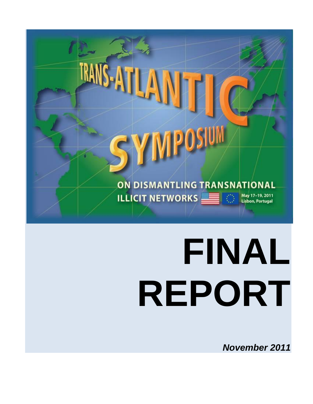

*November 2011*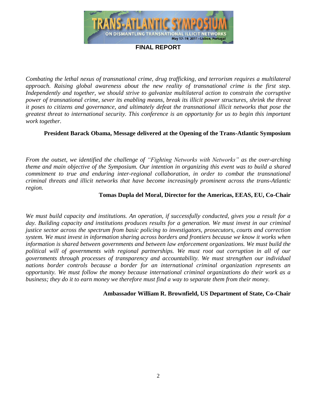

*Combating the lethal nexus of transnational crime, drug trafficking, and terrorism requires a multilateral approach. Raising global awareness about the new reality of transnational crime is the first step. Independently and together, we should strive to galvanize multilateral action to constrain the corruptive power of transnational crime, sever its enabling means, break its illicit power structures, shrink the threat it poses to citizens and governance, and ultimately defeat the transnational illicit networks that pose the greatest threat to international security. This conference is an opportunity for us to begin this important work together.*

#### **President Barack Obama, Message delivered at the Opening of the Trans-Atlantic Symposium**

*From the outset, we identified the challenge of "Fighting Networks with Networks" as the over-arching theme and main objective of the Symposium. Our intention in organizing this event was to build a shared commitment to true and enduring inter-regional collaboration, in order to combat the transnational criminal threats and illicit networks that have become increasingly prominent across the trans-Atlantic region.*

#### **Tomas Dupla del Moral, Director for the Americas, EEAS, EU, Co-Chair**

*We must build capacity and institutions. An operation, if successfully conducted, gives you a result for a day. Building capacity and institutions produces results for a generation. We must invest in our criminal justice sector across the spectrum from basic policing to investigators, prosecutors, courts and correction system. We must invest in information sharing across borders and frontiers because we know it works when information is shared between governments and between law enforcement organizations. We must build the political will of governments with regional partnerships. We must root out corruption in all of our governments through processes of transparency and accountability. We must strengthen our individual nations border controls because a border for an international criminal organization represents an opportunity. We must follow the money because international criminal organizations do their work as a business; they do it to earn money we therefore must find a way to separate them from their money.*

**Ambassador William R. Brownfield, US Department of State, Co-Chair**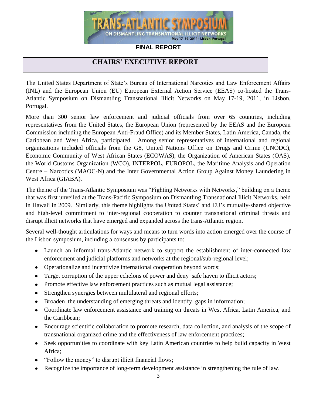

## **CHAIRS' EXECUTIVE REPORT**

The United States Department of State's Bureau of International Narcotics and Law Enforcement Affairs (INL) and the European Union (EU) European External Action Service (EEAS) co-hosted the Trans-Atlantic Symposium on Dismantling Transnational Illicit Networks on May 17-19, 2011, in Lisbon, Portugal.

More than 300 senior law enforcement and judicial officials from over 65 countries, including representatives from the United States, the European Union (represented by the EEAS and the European Commission including the European Anti-Fraud Office) and its Member States, Latin America, Canada, the Caribbean and West Africa, participated. Among senior representatives of international and regional organizations included officials from the G8, United Nations Office on Drugs and Crime (UNODC), Economic Community of West African States (ECOWAS), the Organization of American States (OAS), the World Customs Organization (WCO), INTERPOL, EUROPOL, the Maritime Analysis and Operation Centre – Narcotics (MAOC-N) and the Inter Governmental Action Group Against Money Laundering in West Africa (GIABA).

The theme of the Trans-Atlantic Symposium was "Fighting Networks with Networks," building on a theme that was first unveiled at the Trans-Pacific Symposium on Dismantling Transnational Illicit Networks, held in Hawaii in 2009. Similarly, this theme highlights the United States' and EU's mutually-shared objective and high-level commitment to inter-regional cooperation to counter transnational criminal threats and disrupt illicit networks that have emerged and expanded across the trans-Atlantic region.

Several well-thought articulations for ways and means to turn words into action emerged over the course of the Lisbon symposium, including a consensus by participants to:

- Launch an informal trans-Atlantic network to support the establishment of inter-connected law enforcement and judicial platforms and networks at the regional/sub-regional level;
- Operationalize and incentivize international cooperation beyond words;
- Target corruption of the upper echelons of power and deny safe haven to illicit actors;
- Promote effective law enforcement practices such as mutual legal assistance;
- Strengthen synergies between multilateral and regional efforts;  $\bullet$
- Broaden the understanding of emerging threats and identify gaps in information;
- Coordinate law enforcement assistance and training on threats in West Africa, Latin America, and the Caribbean;
- Encourage scientific collaboration to promote research, data collection, and analysis of the scope of transnational organized crime and the effectiveness of law enforcement practices;
- Seek opportunities to coordinate with key Latin American countries to help build capacity in West Africa;
- "Follow the money" to disrupt illicit financial flows;
- Recognize the importance of long-term development assistance in strengthening the rule of law.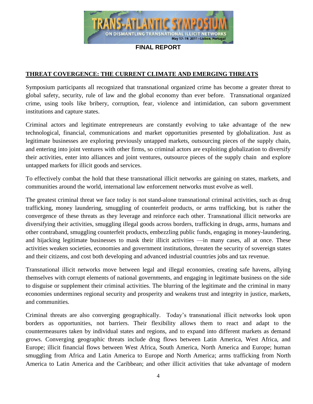

#### **THREAT COVERGENCE: THE CURRENT CLIMATE AND EMERGING THREATS**

Symposium participants all recognized that transnational organized crime has become a greater threat to global safety, security, rule of law and the global economy than ever before. Transnational organized crime, using tools like bribery, corruption, fear, violence and intimidation, can suborn government institutions and capture states.

Criminal actors and legitimate entrepreneurs are constantly evolving to take advantage of the new technological, financial, communications and market opportunities presented by globalization. Just as legitimate businesses are exploring previously untapped markets, outsourcing pieces of the supply chain, and entering into joint ventures with other firms, so criminal actors are exploiting globalization to diversify their activities, enter into alliances and joint ventures, outsource pieces of the supply chain and explore untapped markets for illicit goods and services.

To effectively combat the hold that these transnational illicit networks are gaining on states, markets, and communities around the world, international law enforcement networks must evolve as well.

The greatest criminal threat we face today is not stand-alone transnational criminal activities, such as drug trafficking, money laundering, smuggling of counterfeit products, or arms trafficking, but is rather the convergence of these threats as they leverage and reinforce each other. Transnational illicit networks are diversifying their activities, smuggling illegal goods across borders, trafficking in drugs, arms, humans and other contraband, smuggling counterfeit products, embezzling public funds, engaging in money-laundering, and hijacking legitimate businesses to mask their illicit activities —in many cases, all at once. These activities weaken societies, economies and government institutions, threaten the security of sovereign states and their citizens, and cost both developing and advanced industrial countries jobs and tax revenue.

Transnational illicit networks move between legal and illegal economies, creating safe havens, allying themselves with corrupt elements of national governments, and engaging in legitimate business on the side to disguise or supplement their criminal activities. The blurring of the legitimate and the criminal in many economies undermines regional security and prosperity and weakens trust and integrity in justice, markets, and communities.

Criminal threats are also converging geographically. Today's transnational illicit networks look upon borders as opportunities, not barriers. Their flexibility allows them to react and adapt to the countermeasures taken by individual states and regions, and to expand into different markets as demand grows. Converging geographic threats include drug flows between Latin America, West Africa, and Europe; illicit financial flows between West Africa, South America, North America and Europe; human smuggling from Africa and Latin America to Europe and North America; arms trafficking from North America to Latin America and the Caribbean; and other illicit activities that take advantage of modern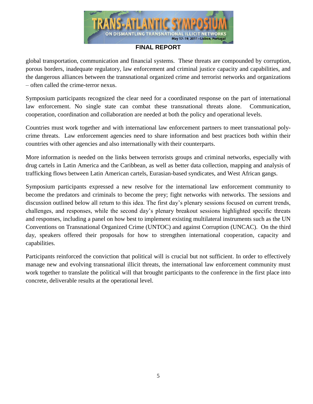

global transportation, communication and financial systems. These threats are compounded by corruption, porous borders, inadequate regulatory, law enforcement and criminal justice capacity and capabilities, and the dangerous alliances between the transnational organized crime and terrorist networks and organizations – often called the crime-terror nexus.

Symposium participants recognized the clear need for a coordinated response on the part of international law enforcement. No single state can combat these transnational threats alone. Communication, cooperation, coordination and collaboration are needed at both the policy and operational levels.

Countries must work together and with international law enforcement partners to meet transnational polycrime threats. Law enforcement agencies need to share information and best practices both within their countries with other agencies and also internationally with their counterparts.

More information is needed on the links between terrorists groups and criminal networks, especially with drug cartels in Latin America and the Caribbean, as well as better data collection, mapping and analysis of trafficking flows between Latin American cartels, Eurasian-based syndicates, and West African gangs.

Symposium participants expressed a new resolve for the international law enforcement community to become the predators and criminals to become the prey; fight networks with networks. The sessions and discussion outlined below all return to this idea. The first day's plenary sessions focused on current trends, challenges, and responses, while the second day's plenary breakout sessions highlighted specific threats and responses, including a panel on how best to implement existing multilateral instruments such as the UN Conventions on Transnational Organized Crime (UNTOC) and against Corruption (UNCAC). On the third day, speakers offered their proposals for how to strengthen international cooperation, capacity and capabilities.

Participants reinforced the conviction that political will is crucial but not sufficient. In order to effectively manage new and evolving transnational illicit threats, the international law enforcement community must work together to translate the political will that brought participants to the conference in the first place into concrete, deliverable results at the operational level.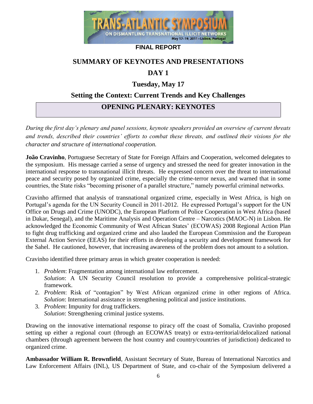

## **SUMMARY OF KEYNOTES AND PRESENTATIONS**

## **DAY 1**

## **Tuesday, May 17**

## **Setting the Context: Current Trends and Key Challenges**

## **OPENING PLENARY: KEYNOTES**

*During the first day's plenary and panel sessions, keynote speakers provided an overview of current threats and trends, described their countries' efforts to combat these threats, and outlined their visions for the character and structure of international cooperation.*

**João Cravinho**, Portuguese Secretary of State for Foreign Affairs and Cooperation, welcomed delegates to the symposium. His message carried a sense of urgency and stressed the need for greater innovation in the international response to transnational illicit threats. He expressed concern over the threat to international peace and security posed by organized crime, especially the crime-terror nexus, and warned that in some countries, the State risks "becoming prisoner of a parallel structure," namely powerful criminal networks.

Cravinho affirmed that analysis of transnational organized crime, especially in West Africa, is high on Portugal's agenda for the UN Security Council in 2011-2012. He expressed Portugal's support for the UN Office on Drugs and Crime (UNODC), the European Platform of Police Cooperation in West Africa (based in Dakar, Senegal), and the Maritime Analysis and Operation Centre – Narcotics (MAOC-N) in Lisbon. He acknowledged the Economic Community of West African States' (ECOWAS) 2008 Regional Action Plan to fight drug trafficking and organized crime and also lauded the European Commission and the European External Action Service (EEAS) for their efforts in developing a security and development framework for the Sahel. He cautioned, however, that increasing awareness of the problem does not amount to a solution.

Cravinho identified three primary areas in which greater cooperation is needed:

- 1. *Problem*: Fragmentation among international law enforcement. *Solution*: A UN Security Council resolution to provide a comprehensive political-strategic framework.
- 2. *Problem*: Risk of "contagion" by West African organized crime in other regions of Africa. *Solution*: International assistance in strengthening political and justice institutions.
- 3. *Problem*: Impunity for drug traffickers. *Solution*: Strengthening criminal justice systems.

Drawing on the innovative international response to piracy off the coast of Somalia, Cravinho proposed setting up either a regional court (through an ECOWAS treaty) or extra-territorial/delocalized national chambers (through agreement between the host country and country/countries of jurisdiction) dedicated to organized crime.

**Ambassador William R. Brownfield**, Assistant Secretary of State, Bureau of International Narcotics and Law Enforcement Affairs (INL), US Department of State, and co-chair of the Symposium delivered a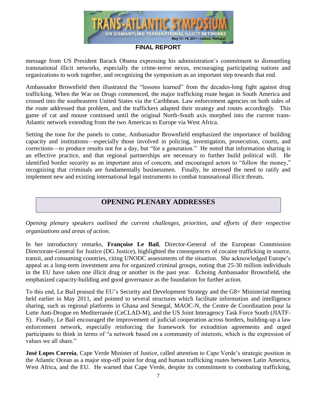

message from US President Barack Obama expressing his administration's commitment to dismantling transnational illicit networks, especially the crime-terror nexus, encouraging participating nations and organizations to work together, and recognizing the symposium as an important step towards that end.

Ambassador Brownfield then illustrated the "lessons learned" from the decades-long fight against drug trafficking. When the War on Drugs commenced, the major trafficking route began in South America and crossed into the southeastern United States via the Caribbean. Law enforcement agencies on both sides of the route addressed that problem, and the traffickers adapted their strategy and routes accordingly. This game of cat and mouse continued until the original North-South axis morphed into the current trans-Atlantic network extending from the two Americas to Europe via West Africa.

Setting the tone for the panels to come, Ambassador Brownfield emphasized the importance of building capacity and institutions—especially those involved in policing, investigation, prosecution, courts, and corrections—to produce results not for a day, but "for a generation." He noted that information sharing is an effective practice, and that regional partnerships are necessary to further build political will. He identified border security as an important area of concern, and encouraged actors to "follow the money," recognizing that criminals are fundamentally businessmen. Finally, he stressed the need to ratify and implement new and existing international legal instruments to combat transnational illicit threats.

## **OPENING PLENARY ADDRESSES**

*Opening plenary speakers outlined the current challenges, priorities, and efforts of their respective organizations and areas of action.*

In her introductory remarks, **Françoise Le Bail**, Director-General of the European Commission Directorate-General for Justice (DG Justice), highlighted the consequences of cocaine trafficking in source, transit, and consuming countries, citing UNODC assessments of the situation. She acknowledged Europe's appeal as a long-term investment area for organized criminal groups, noting that 25-30 million individuals in the EU have taken one illicit drug or another in the past year. Echoing Ambassador Brownfield, she emphasized capacity-building and good governance as the foundation for further action.

To this end, Le Bail praised the EU's Security and Development Strategy and the G8+ Ministerial meeting held earlier in May 2011, and pointed to several structures which facilitate information and intelligence sharing, such as regional platforms in Ghana and Senegal, MAOC-N, the Centre de Coordination pour la Lutte Anti-Drogue en Mediterranée (CeCLAD-M), and the US Joint Interagency Task Force South (JIATF-S). Finally, Le Bail encouraged the improvement of judicial cooperation across borders, building-up a law enforcement network, especially reinforcing the framework for extradition agreements and urged participants to think in terms of "a network based on a community of interests, which is the expression of values we all share."

**José Lopes Correia**, Cape Verde Minister of Justice, called attention to Cape Verde's strategic position in the Atlantic Ocean as a major stop-off point for drug and human trafficking routes between Latin America, West Africa, and the EU. He warned that Cape Verde, despite its commitment to combating trafficking,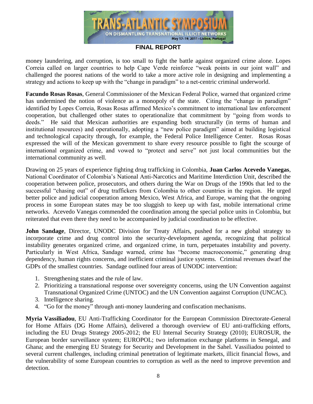

money laundering, and corruption, is too small to fight the battle against organized crime alone. Lopes Correia called on larger countries to help Cape Verde reinforce "weak points in our joint wall" and challenged the poorest nations of the world to take a more active role in designing and implementing a strategy and actions to keep up with the "change in paradigm" to a net-centric criminal underworld.

**Facundo Rosas Rosas**, General Commissioner of the Mexican Federal Police, warned that organized crime has undermined the notion of violence as a monopoly of the state. Citing the "change in paradigm" identified by Lopes Correia, Rosas Rosas affirmed Mexico's commitment to international law enforcement cooperation, but challenged other states to operationalize that commitment by "going from words to deeds." He said that Mexican authorities are expanding both structurally (in terms of human and institutional resources) and operationally, adopting a "new police paradigm" aimed at building logistical and technological capacity through, for example, the Federal Police Intelligence Center. Rosas Rosas expressed the will of the Mexican government to share every resource possible to fight the scourge of international organized crime, and vowed to "protect and serve" not just local communities but the international community as well.

Drawing on 25 years of experience fighting drug trafficking in Colombia, **Juan Carlos Acevedo Vanegas**, National Coordinator of Colombia's National Anti-Narcotics and Maritime Interdiction Unit, described the cooperation between police, prosecutors, and others during the War on Drugs of the 1990s that led to the successful "chasing out" of drug traffickers from Colombia to other countries in the region. He urged better police and judicial cooperation among Mexico, West Africa, and Europe, warning that the ongoing process in some European states may be too sluggish to keep up with fast, mobile international crime networks. Acevedo Vanegas commended the coordination among the special police units in Colombia, but reiterated that even there they need to be accompanied by judicial coordination to be effective.

**John Sandage**, Director, UNODC Division for Treaty Affairs, pushed for a new global strategy to incorporate crime and drug control into the security-development agenda, recognizing that political instability generates organized crime, and organized crime, in turn, perpetuates instability and poverty. Particularly in West Africa, Sandage warned, crime has "become macroeconomic," generating drug dependency, human rights concerns, and inefficient criminal justice systems. Criminal revenues dwarf the GDPs of the smallest countries. Sandage outlined four areas of UNODC intervention:

- 1. Strengthening states and the rule of law.
- 2. Prioritizing a transnational response over sovereignty concerns, using the UN Convention aagainst Transnational Organized Crime (UNTOC) and the UN Convention aagainst Corruption (UNCAC).
- 3. Intelligence sharing.
- 4. "Go for the money" through anti-money laundering and confiscation mechanisms.

**Myria Vassiliadou**, EU Anti-Trafficking Coordinator for the European Commission Directorate-General for Home Affairs (DG Home Affairs), delivered a thorough overview of EU anti-trafficking efforts, including the EU Drugs Strategy 2005-2012; the EU Internal Security Strategy (2010); EUROSUR, the European border surveillance system; EUROPOL; two information exchange platforms in Senegal, and Ghana; and the emerging EU Strategy for Security and Development in the Sahel. Vassiliadou pointed to several current challenges, including criminal penetration of legitimate markets, illicit financial flows, and the vulnerability of some European countries to corruption as well as the need to improve prevention and detection.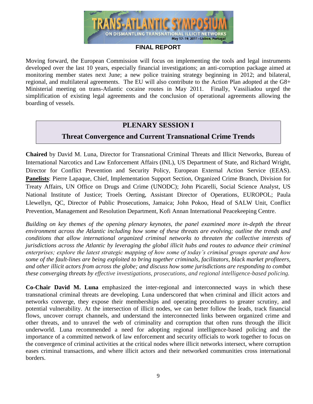

Moving forward, the European Commission will focus on implementing the tools and legal instruments developed over the last 10 years, especially financial investigations; an anti-corruption package aimed at monitoring member states next June; a new police training strategy beginning in 2012; and bilateral, regional, and multilateral agreements. The EU will also contribute to the Action Plan adopted at the G8+ Ministerial meeting on trans-Atlantic cocaine routes in May 2011. Finally, Vassiliadou urged the simplification of existing legal agreements and the conclusion of operational agreements allowing the boarding of vessels.

## **PLENARY SESSION I**

## **Threat Convergence and Current Transnational Crime Trends**

**Chaired** by David M. Luna, Director for Transnational Criminal Threats and Illicit Networks, Bureau of International Narcotics and Law Enforcement Affairs (INL), US Department of State, and Richard Wright, Director for Conflict Prevention and Security Policy, European External Action Service (EEAS). **Panelists**: Pierre Lapaque, Chief, Implementation Support Section, Organized Crime Branch, Division for Treaty Affairs, UN Office on Drugs and Crime (UNODC); John Picarelli, Social Science Analyst, US National Institute of Justice; Troels Oerting, Assistant Director of Operations, EUROPOL; Paula Llewellyn, QC, Director of Public Prosecutions, Jamaica; John Pokoo, Head of SALW Unit, Conflict Prevention, Management and Resolution Department, Kofi Annan International Peacekeeping Centre.

*Building on key themes of the opening plenary keynotes, the panel examined more in-depth the threat environment across the Atlantic including how some of these threats are evolving; outline the trends and conditions that allow international organized criminal networks to threaten the collective interests of jurisdictions across the Atlantic by leveraging the global illicit hubs and routes to advance their criminal enterprises; explore the latest strategic mapping of how some of today's criminal groups operate and how some of the fault-lines are being exploited to bring together criminals, facilitators, black market profiteers, and other illicit actors from across the globe; and discuss how some jurisdictions are responding to combat these converging threats by effective investigations, prosecutions, and regional intelligence-based policing.*

**Co-Chair David M. Luna** emphasized the inter-regional and interconnected ways in which these transnational criminal threats are developing. Luna underscored that when criminal and illicit actors and networks converge, they expose their memberships and operating procedures to greater scrutiny, and potential vulnerability. At the intersection of illicit nodes, we can better follow the leads, track financial flows, uncover corrupt channels, and understand the interconnected links between organized crime and other threats, and to unravel the web of criminality and corruption that often runs through the illicit underworld. Luna recommended a need for adopting regional intelligence-based policing and the importance of a committed network of law enforcement and security officials to work together to focus on the convergence of criminal activities at the critical nodes where illicit networks intersect, where corruption eases criminal transactions, and where illicit actors and their networked communities cross international borders.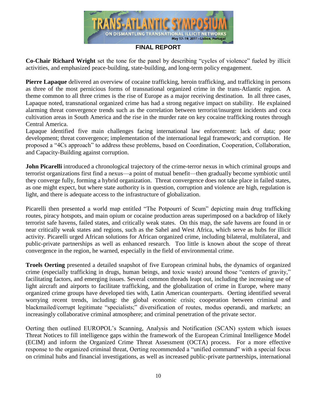

**Co-Chair Richard Wright** set the tone for the panel by describing "cycles of violence" fueled by illicit activities, and emphasized peace-building, state-building, and long-term policy engagement.

**Pierre Lapaque** delivered an overview of cocaine trafficking, heroin trafficking, and trafficking in persons as three of the most pernicious forms of transnational organized crime in the trans-Atlantic region. A theme common to all three crimes is the rise of Europe as a major receiving destination. In all three cases, Lapaque noted, transnational organized crime has had a strong negative impact on stability. He explained alarming threat convergence trends such as the correlation between terrorist/insurgent incidents and coca cultivation areas in South America and the rise in the murder rate on key cocaine trafficking routes through Central America.

Lapaque identified five main challenges facing international law enforcement: lack of data; poor development; threat convergence; implementation of the international legal framework; and corruption. He proposed a "4Cs approach" to address these problems, based on Coordination, Cooperation, Collaboration, and Capacity-Building against corruption.

**John Picarelli** introduced a chronological trajectory of the crime-terror nexus in which criminal groups and terrorist organizations first find a nexus—a point of mutual benefit—then gradually become symbiotic until they converge fully, forming a hybrid organization. Threat convergence does not take place in failed states, as one might expect, but where state authority is in question, corruption and violence are high, regulation is light, and there is adequate access to the infrastructure of globalization.

Picarelli then presented a world map entitled "The Potpourri of Scum" depicting main drug trafficking routes, piracy hotspots, and main opium or cocaine production areas superimposed on a backdrop of likely terrorist safe havens, failed states, and critically weak states. On this map, the safe havens are found in or near critically weak states and regions, such as the Sahel and West Africa, which serve as hubs for illicit activity. Picarelli urged African solutions for African organized crime, including bilateral, multilateral, and public-private partnerships as well as enhanced research. Too little is known about the scope of threat convergence in the region, he warned, especially in the field of environmental crime.

**Troels Oerting** presented a detailed snapshot of five European criminal hubs, the dynamics of organized crime (especially trafficking in drugs, human beings, and toxic waste) around those "centers of gravity," facilitating factors, and emerging issues. Several common threads leapt out, including the increasing use of light aircraft and airports to facilitate trafficking, and the globalization of crime in Europe, where many organized crime groups have developed ties with, Latin American counterparts. Oerting identified several worrying recent trends, including: the global economic crisis; cooperation between criminal and blackmailed/corrupt legitimate "specialists;" diversification of routes, modus operandi, and markets; an increasingly collaborative criminal atmosphere; and criminal penetration of the private sector.

Oerting then outlined EUROPOL's Scanning, Analysis and Notification (SCAN) system which issues Threat Notices to fill intelligence gaps within the framework of the European Criminal Intelligence Model (ECIM) and inform the Organized Crime Threat Assessment (OCTA) process. For a more effective response to the organized criminal threat, Oerting recommended a "unified command" with a special focus on criminal hubs and financial investigations, as well as increased public-private partnerships, international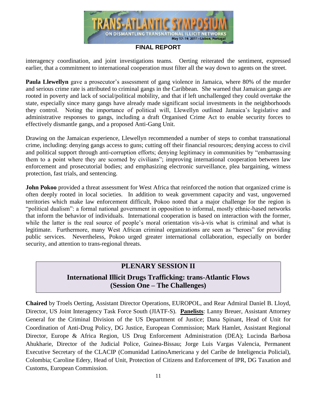

interagency coordination, and joint investigations teams. Oerting reiterated the sentiment, expressed earlier, that a commitment to international cooperation must filter all the way down to agents on the street.

**Paula Llewellyn** gave a prosecutor's assessment of gang violence in Jamaica, where 80% of the murder and serious crime rate is attributed to criminal gangs in the Caribbean. She warned that Jamaican gangs are rooted in poverty and lack of social/political mobility, and that if left unchallenged they could overtake the state, especially since many gangs have already made significant social investments in the neighborhoods they control. Noting the importance of political will, Llewellyn outlined Jamaica's legislative and administrative responses to gangs, including a draft Organised Crime Act to enable security forces to effectively dismantle gangs, and a proposed Anti-Gang Unit.

Drawing on the Jamaican experience, Llewellyn recommended a number of steps to combat transnational crime, including: denying gangs access to guns; cutting off their financial resources; denying access to civil and political support through anti-corruption efforts; denying legitimacy in communities by "embarrassing them to a point where they are scorned by civilians"; improving international cooperation between law enforcement and prosecutorial bodies; and emphasizing electronic surveillance, plea bargaining, witness protection, fast trials, and sentencing.

**John Pokoo** provided a threat assessment for West Africa that reinforced the notion that organized crime is often deeply rooted in local societies. In addition to weak government capacity and vast, ungoverned territories which make law enforcement difficult, Pokoo noted that a major challenge for the region is "political dualism": a formal national government in opposition to informal, mostly ethnic-based networks that inform the behavior of individuals. International cooperation is based on interaction with the former, while the latter is the real source of people's moral orientation vis- $\hat{a}$ -vis what is criminal and what is legitimate. Furthermore, many West African criminal organizations are seen as "heroes" for providing public services. Nevertheless, Pokoo urged greater international collaboration, especially on border security, and attention to trans-regional threats.

## **PLENARY SESSION II**

## **International Illicit Drugs Trafficking: trans-Atlantic Flows (Session One – The Challenges)**

**Chaired** by Troels Oerting, Assistant Director Operations, EUROPOL, and Rear Admiral Daniel B. Lloyd, Director, US Joint Interagency Task Force South (JIATF-S). **Panelists**: Lanny Breuer, Assistant Attorney General for the Criminal Division of the US Department of Justice; Dana Spinant, Head of Unit for Coordination of Anti-Drug Policy, DG Justice, European Commission; Mark Hamlet, Assistant Regional Director, Europe & Africa Region, US Drug Enforcement Administration (DEA); Lucinda Barbosa Ahukharie, Director of the Judicial Police, Guinea-Bissau; Jorge Luis Vargas Valencia, Permanent Executive Secretary of the CLACIP (Comunidad LatinoAmericana y del Caribe de Inteligencia Policial), Colombia; Caroline Edery, Head of Unit, Protection of Citizens and Enforcement of IPR, DG Taxation and Customs, European Commission*.*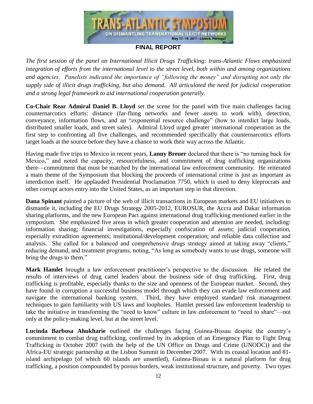

*The first session of the panel on International Illicit Drugs Trafficking: trans-Atlantic Flows emphasized integration of efforts from the international level to the street level, both within and among organizations and agencies. Panelists indicated the importance of "following the money" and disrupting not only the supply side of illicit drugs trafficking, but also demand. All articulated the need for judicial cooperation and a strong legal framework to aid international cooperation generally.* 

**Co-Chair Rear Admiral Daniel B. Lloyd** set the scene for the panel with five main challenges facing counternarcotics efforts: distance (far-flung networks and fewer assets to work with), detection, conveyance, information flows, and an "exponential resource challenge" (how to interdict large loads, distributed smaller loads, and street sales). Admiral Lloyd urged greater international cooperation as the first step to confronting all five challenges, and recommended specifically that counternarcotics efforts target loads at the source before they have a chance to work their way across the Atlantic.

Having made five trips to Mexico in recent years, **Lanny Breuer** declared that there is "no turning back for Mexico," and noted the capacity, resourcefulness, and commitment of drug trafficking organizations there—commitment that must be matched by the international law enforcement community. He reiterated a main theme of the Symposium that blocking the proceeds of international crime is just as important as interdiction itself. He applauded Presidential Proclamation 7750, which is used to deny kleprocrats and other corrupt actors entry into the United States, as an important step in that direction.

**Dana Spinant** painted a picture of the web of illicit transactions in European markets and EU initiatives to dismantle it, including the EU Drugs Strategy 2005-2012, EUROSUR, the Accra and Dakar information sharing platforms, and the new European Pact against international drug trafficking mentioned earlier in the symposium. She emphasized five areas in which greater cooperation and attention are needed, including: information sharing; financial investigations, especially confiscation of assets; judicial cooperation, especially extradition agreements; institutional/development cooperation; and reliable data collection and analysis. She called for a balanced and comprehensive drugs strategy aimed at taking away "clients," reducing demand, and treatment programs, noting, "As long as somebody wants to use drugs, someone will bring the drugs to them."

**Mark Hamlet** brought a law enforcement practitioner's perspective to the discussion. He related the results of interviews of drug cartel leaders about the business side of drug trafficking. First, drug trafficking is profitable, especially thanks to the size and openness of the European market. Second, they have found in corruption a successful business model through which they can evade law enforcement and navigate the international banking system. Third, they have employed standard risk management techniques to gain familiarity with US laws and loopholes. Hamlet pressed law enforcement leadership to take the initiative in transforming the "need to know" culture in law enforcement to "need to share"—not only at the policy-making level, but at the street level.

**Lucinda Barbosa Ahukharie** outlined the challenges facing Guinea-Bissau despite the country's commitment to combat drug trafficking, confirmed by its adoption of an Emergency Plan to Fight Drug Trafficking in October 2007 (with the help of the UN Office on Drugs and Crime (UNODC)) and the Africa-EU strategic partnership at the Lisbon Summit in December 2007. With its coastal location and 81 island archipelago (of which 60 islands are unsettled), Guinea-Bissau is a natural platform for drug trafficking, a position compounded by porous borders, weak institutional structure, and poverty. Two types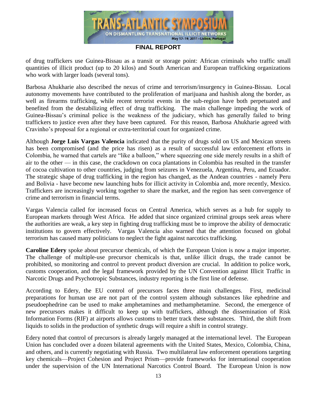

of drug traffickers use Guinea-Bissau as a transit or storage point: African criminals who traffic small quantities of illicit product (up to 20 kilos) and South American and European trafficking organizations who work with larger loads (several tons).

Barbosa Ahukharie also described the nexus of crime and terrorism/insurgency in Guinea-Bissau. Local autonomy movements have contributed to the proliferation of marijuana and hashish along the border, as well as firearms trafficking, while recent terrorist events in the sub-region have both perpetuated and benefited from the destabilizing effect of drug trafficking. The main challenge impeding the work of Guinea-Bissau's criminal police is the weakness of the judiciary, which has generally failed to bring traffickers to justice even after they have been captured. For this reason, Barbosa Ahukharie agreed with Cravinho's proposal for a regional or extra-territorial court for organized crime.

Although **Jorge Luis Vargas Valencia** indicated that the purity of drugs sold on US and Mexican streets has been compromised (and the price has risen) as a result of successful law enforcement efforts in Colombia, he warned that cartels are "like a balloon," where squeezing one side merely results in a shift of air to the other — in this case, the crackdown on coca plantations in Colombia has resulted in the transfer of cocoa cultivation to other countries, judging from seizures in Venezuela, Argentina, Peru, and Ecuador. The strategic shape of drug trafficking in the region has changed, as the Andean countries - namely Peru and Bolivia - have become new launching hubs for illicit activity in Colombia and, more recently, Mexico. Traffickers are increasingly working together to share the market, and the region has seen convergence of crime and terrorism in financial terms.

Vargas Valencia called for increased focus on Central America, which serves as a hub for supply to European markets through West Africa. He added that since organized criminal groups seek areas where the authorities are weak, a key step in fighting drug trafficking must be to improve the ability of democratic institutions to govern effectively. Vargas Valencia also warned that the attention focused on global terrorism has caused many politicians to neglect the fight against narcotics trafficking.

**Caroline Edery** spoke about precursor chemicals, of which the European Union is now a major importer. The challenge of multiple-use precursor chemicals is that, unlike illicit drugs, the trade cannot be prohibited, so monitoring and control to prevent product diversion are crucial. In addition to police work, customs cooperation, and the legal framework provided by the UN Convention against Illicit Traffic in Narcotic Drugs and Psychotropic Substances, industry reporting is the first line of defense.

According to Edery, the EU control of precursors faces three main challenges. First, medicinal preparations for human use are not part of the control system although substances like ephedrine and pseudoephedrine can be used to make amphetamines and methamphetamine. Second, the emergence of new precursors makes it difficult to keep up with traffickers, although the dissemination of Risk Information Forms (RIF) at airports allows customs to better track these substances. Third, the shift from liquids to solids in the production of synthetic drugs will require a shift in control strategy.

Edery noted that control of precursors is already largely managed at the international level. The European Union has concluded over a dozen bilateral agreements with the United States, Mexico, Colombia, China, and others, and is currently negotiating with Russia. Two multilateral law enforcement operations targeting key chemicals—Project Cohesion and Project Prism—provide frameworks for international cooperation under the supervision of the UN International Narcotics Control Board. The European Union is now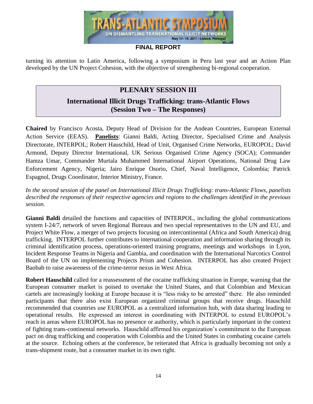

turning its attention to Latin America, following a symposium in Peru last year and an Action Plan developed by the UN Project Cohesion, with the objective of strengthening bi-regional cooperation.

## **PLENARY SESSION III**

## **International Illicit Drugs Trafficking: trans-Atlantic Flows (Session Two – The Responses)**

**Chaired** by Francisco Acosta, Deputy Head of Division for the Andean Countries, European External Action Service (EEAS). **Panelists**: Gianni Baldi, Acting Director, Specialised Crime and Analysis Directorate, INTERPOL; Robert Hauschild, Head of Unit, Organised Crime Networks, EUROPOL; David Armond, Deputy Director International, UK Serious Organised Crime Agency (SOCA); Commander Hamza Umar, Commander Murtala Muhammed International Airport Operations, National Drug Law Enforcement Agency, Nigeria; Jairo Enrique Osorio, Chief, Naval Intelligence, Colombia; Patrick Espagnol, Drugs Coordinator, Interior Ministry, France.

*In the second session of the panel on International Illicit Drugs Trafficking: trans-Atlantic Flows, panelists described the responses of their respective agencies and regions to the challenges identified in the previous session.* 

**Gianni Baldi** detailed the functions and capacities of INTERPOL, including the global communications system I-24/7, network of seven Regional Bureaus and two special representatives to the UN and EU, and Project White Flow, a merger of two projects focusing on intercontinental (Africa and South America) drug trafficking. INTERPOL further contributes to international cooperation and information sharing through its criminal identification process, operations-oriented training programs, meetings and workshops in Lyon, Incident Response Teams in Nigeria and Gambia, and coordination with the International Narcotics Control Board of the UN on implementing Projects Prism and Cohesion. INTERPOL has also created Project Baobab to raise awareness of the crime-terror nexus in West Africa.

**Robert Hauschild** called for a reassessment of the cocaine trafficking situation in Europe, warning that the European consumer market is poised to overtake the United States, and that Colombian and Mexican cartels are increasingly looking at Europe because it is "less risky to be arrested" there. He also reminded participants that there also exist European organized criminal groups that receive drugs. Hauschild recommended that countries use EUROPOL as a centralized information hub, with data sharing leading to operational results. He expressed an interest in coordinating with INTERPOL to extend EUROPOL's reach in areas where EUROPOL has no presence or authority, which is particularly important in the context of fighting trans-continental networks. Hauschild affirmed his organization's commitment to the European pact on drug trafficking and cooperation with Colombia and the United States in combating cocaine cartels at the source. Echoing others at the conference, he reiterated that Africa is gradually becoming not only a trans-shipment route, but a consumer market in its own right.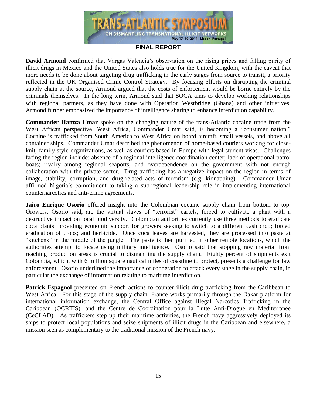

**David Armond** confirmed that Vargas Valencia's observation on the rising prices and falling purity of illicit drugs in Mexico and the United States also holds true for the United Kingdom, with the caveat that more needs to be done about targeting drug trafficking in the early stages from source to transit, a priority reflected in the UK Organised Crime Control Strategy. By focusing efforts on disrupting the criminal supply chain at the source, Armond argued that the costs of enforcement would be borne entirely by the criminals themselves. In the long term, Armond said that SOCA aims to develop working relationships with regional partners, as they have done with Operation Westbridge (Ghana) and other initiatives. Armond further emphasized the importance of intelligence sharing to enhance interdiction capability.

**Commander Hamza Umar** spoke on the changing nature of the trans-Atlantic cocaine trade from the West African perspective. West Africa, Commander Umar said, is becoming a "consumer nation." Cocaine is trafficked from South America to West Africa on board aircraft, small vessels, and above all container ships. Commander Umar described the phenomenon of home-based couriers working for closeknit, family-style organizations, as well as couriers based in Europe with legal student visas. Challenges facing the region include: absence of a regional intelligence coordination center; lack of operational patrol boats; rivalry among regional seaports; and overdependence on the government with not enough collaboration with the private sector. Drug trafficking has a negative impact on the region in terms of image, stability, corruption, and drug-related acts of terrorism (e.g. kidnapping). Commander Umar affirmed Nigeria's commitment to taking a sub-regional leadership role in implementing international counternarcotics and anti-crime agreements.

**Jairo Enrique Osorio** offered insight into the Colombian cocaine supply chain from bottom to top. Growers, Osorio said, are the virtual slaves of "terrorist" cartels, forced to cultivate a plant with a destructive impact on local biodiversity. Colombian authorities currently use three methods to eradicate coca plants: providing economic support for growers seeking to switch to a different cash crop; forced eradication of crops; and herbicide. Once coca leaves are harvested, they are processed into paste at "kitchens" in the middle of the jungle. The paste is then purified in other remote locations, which the authorities attempt to locate using military intelligence. Osorio said that stopping raw material from reaching production areas is crucial to dismantling the supply chain. Eighty percent of shipments exit Colombia, which, with 6 million square nautical miles of coastline to protect, presents a challenge for law enforcement. Osorio underlined the importance of cooperation to attack every stage in the supply chain, in particular the exchange of information relating to maritime interdiction.

**Patrick Espagnol** presented on French actions to counter illicit drug trafficking from the Caribbean to West Africa. For this stage of the supply chain, France works primarily through the Dakar platform for international information exchange, the Central Office against Illegal Narcotics Trafficking in the Caribbean (OCRTIS), and the Centre de Coordination pour la Lutte Anti-Drogue en Mediterranée (CeCLAD). As traffickers step up their maritime activities, the French navy aggressively deployed its ships to protect local populations and seize shipments of illicit drugs in the Caribbean and elsewhere, a mission seen as complementary to the traditional mission of the French navy.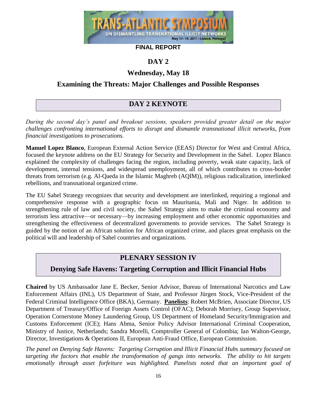

## **DAY 2**

## **Wednesday, May 18**

## **Examining the Threats: Major Challenges and Possible Responses**

# **DAY 2 KEYNOTE**

*During the second day's panel and breakout sessions, speakers provided greater detail on the major challenges confronting international efforts to disrupt and dismantle transnational illicit networks, from financial investigations to prosecutions.* 

**Manuel Lopez Blanco**, European External Action Service (EEAS) Director for West and Central Africa, focused the keynote address on the EU Strategy for Security and Development in the Sahel. Lopez Blanco explained the complexity of challenges facing the region, including poverty, weak state capacity, lack of development, internal tensions, and widespread unemployment, all of which contributes to cross-border threats from terrorism (e.g. Al-Qaeda in the Islamic Maghreb (AQIM)), religious radicalization, interlinked rebellions, and transnational organized crime.

The EU Sahel Strategy recognizes that security and development are interlinked, requiring a regional and comprehensive response with a geographic focus on Mauritania, Mali and Niger. In addition to strengthening rule of law and civil society, the Sahel Strategy aims to make the criminal economy and terrorism less attractive—or necessary—by increasing employment and other economic opportunities and strengthening the effectiveness of decentralized governments to provide services. The Sahel Strategy is guided by the notion of an African solution for African organized crime, and places great emphasis on the political will and leadership of Sahel countries and organizations.

# **PLENARY SESSION IV**

# **Denying Safe Havens: Targeting Corruption and Illicit Financial Hubs**

**Chaired** by US Ambassador Jane E. Becker, Senior Advisor, Bureau of International Narcotics and Law Enforcement Affairs (INL), US Department of State, and Professor Jürgen Stock, Vice-President of the Federal Criminal Intelligence Office (BKA), Germany. **Panelists**: Robert McBrien, Associate Director, US Department of Treasury/Office of Foreign Assets Control (OFAC); Deborah Morrisey, Group Supervisor, Operation Cornerstone Money Laundering Group, US Department of Homeland Security/Immigration and Customs Enforcement (ICE); Hans Abma, Senior Policy Advisor International Criminal Cooperation, Ministry of Justice, Netherlands; Sandra Morelli, Comptroller General of Colombia; Ian Walton-George, Director, Investigations & Operations II, European Anti-Fraud Office, European Commission.

*The panel on Denying Safe Havens: Targeting Corruption and Illicit Financial Hubs summary focused on targeting the factors that enable the transformation of gangs into networks. The ability to hit targets emotionally through asset forfeiture was highlighted. Panelists noted that an important goal of*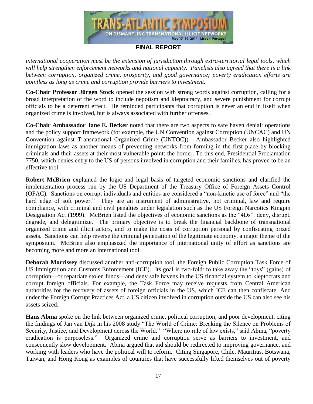

*international cooperation must be the extension of jurisdiction through extra-territorial legal tools, which will help strengthen enforcement networks and national capacity. Panelists also agreed that there is a link between corruption, organized crime, prosperity, and good governance; poverty eradication efforts are pointless as long as crime and corruption provide barriers to investment.*

**Co-Chair Professor Jürgen Stock** opened the session with strong words against corruption, calling for a broad interpretation of the word to include nepotism and kleptocracy, and severe punishment for corrupt officials to be a deterrent effect. He reminded participants that corruption is never an end in itself when organized crime is involved, but is always associated with further offenses.

**Co-Chair Ambassador Jane E. Becker** noted that there are two aspects to safe haven denial: operations and the policy support framework (for example, the UN Convention against Corruption (UNCAC) and UN Convention against Transnational Organized Crime (UNTOC)). Ambassador Becker also highlighted immigration laws as another means of preventing networks from forming in the first place by blocking criminals and their assets at their most vulnerable point: the border. To this end, Presidential Proclamation 7750, which denies entry to the US of persons involved in corruption and their families, has proven to be an effective tool.

**Robert McBrien** explained the logic and legal basis of targeted economic sanctions and clarified the implementation process run by the US Department of the Treasury Office of Foreign Assets Control (OFAC). Sanctions on corrupt individuals and entities are considered a "non-kinetic use of force" and "the hard edge of soft power." They are an instrument of administrative, not criminal, law and require compliance, with criminal and civil penalties under legislation such as the US Foreign Narcotics Kingpin Designation Act (1999). McBrien listed the objectives of economic sanctions as the "4Ds": deny, disrupt, degrade, and delegitimize. The primary objective is to break the financial backbone of transnational organized crime and illicit actors, and to make the costs of corruption personal by confiscating prized assets. Sanctions can help reverse the criminal penetration of the legitimate economy, a major theme of the symposium. McBrien also emphasized the importance of international unity of effort as sanctions are becoming more and more an international tool.

**Deborah Morrissey** discussed another anti-corruption tool, the Foreign Public Corruption Task Force of US Immigration and Customs Enforcement (ICE). Its goal is two-fold: to take away the "toys" (gains) of corruption—or repatriate stolen funds—and deny safe havens in the US financial system to kleptocrats and corrupt foreign officials. For example, the Task Force may receive requests from Central American authorities for the recovery of assets of foreign officials in the US, which ICE can then confiscate. And under the Foreign Corrupt Practices Act, a US citizen involved in corruption outside the US can also see his assets seized.

**Hans Abma** spoke on the link between organized crime, political corruption, and poor development, citing the findings of Jan van Dijk in his 2008 study "The World of Crime: Breaking the Silence on Problems of Security, Justice, and Development across the World." "Where no rule of law exists," said Abma, "poverty eradication is purposeless." Organized crime and corruption serve as barriers to investment, and consequently slow development. Abma argued that aid should be redirected to improving governance, and working with leaders who have the political will to reform. Citing Singapore, Chile, Mauritius, Botswana, Taiwan, and Hong Kong as examples of countries that have successfully lifted themselves out of poverty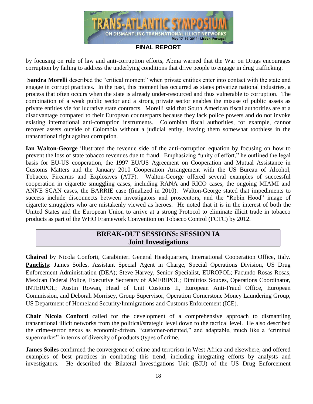

by focusing on rule of law and anti-corruption efforts, Abma warned that the War on Drugs encourages corruption by failing to address the underlying conditions that drive people to engage in drug trafficking.

**Sandra Morelli** described the "critical moment" when private entities enter into contact with the state and engage in corrupt practices. In the past, this moment has occurred as states privatize national industries, a process that often occurs when the state is already under-resourced and thus vulnerable to corruption. The combination of a weak public sector and a strong private sector enables the misuse of public assets as private entities vie for lucrative state contracts. Morelli said that South American fiscal authorities are at a disadvantage compared to their European counterparts because they lack police powers and do not invoke existing international anti-corruption instruments. Colombian fiscal authorities, for example, cannot recover assets outside of Colombia without a judicial entity, leaving them somewhat toothless in the transnational fight against corruption.

**Ian Walton-George** illustrated the revenue side of the anti-corruption equation by focusing on how to prevent the loss of state tobacco revenues due to fraud. Emphasizing "unity of effort," he outlined the legal basis for EU-US cooperation, the 1997 EU/US Agreement on Cooperation and Mutual Assistance in Customs Matters and the January 2010 Cooperation Arrangement with the US Bureau of Alcohol, Tobacco, Firearms and Explosives (ATF). Walton-George offered several examples of successful cooperation in cigarette smuggling cases, including RANA and RICO cases, the ongoing MIAMI and ANNE SCAN cases, the BARRIE case (finalized in 2010). Walton-George stated that impediments to success include disconnects between investigators and prosecutors, and the "Robin Hood" image of cigarette smugglers who are mistakenly viewed as heroes. He noted that it is in the interest of both the United States and the European Union to arrive at a strong Protocol to eliminate illicit trade in tobacco products as part of the WHO Framework Convention on Tobacco Control (FCTC) by 2012.

## **BREAK-OUT SESSIONS: SESSION IA Joint Investigations**

**Chaired** by Nicola Conforti, Carabinieri General Headquarters, International Cooperation Office, Italy. **Panelists**: James Soiles, Assistant Special Agent in Charge, Special Operations Division, US Drug Enforcement Administration (DEA); Steve Harvey, Senior Specialist, EUROPOL; Facundo Rosas Rosas, Mexican Federal Police, Executive Secretary of AMERIPOL; Dimitrios Souxes, Operations Coordinator, INTERPOL; Austin Rowan, Head of Unit Customs II, European Anti-Fraud Office, European Commission, and Deborah Morrisey, Group Supervisor, Operation Cornerstone Money Laundering Group, US Department of Homeland Security/Immigrations and Customs Enforcement (ICE).

**Chair Nicola Conforti** called for the development of a comprehensive approach to dismantling transnational illicit networks from the political/strategic level down to the tactical level. He also described the crime-terror nexus as economic-driven, "customer-oriented," and adaptable, much like a "criminal supermarket" in terms of diversity of products (types of crime.

**James Soiles** confirmed the convergence of crime and terrorism in West Africa and elsewhere, and offered examples of best practices in combating this trend, including integrating efforts by analysts and investigators. He described the Bilateral Investigations Unit (BIU) of the US Drug Enforcement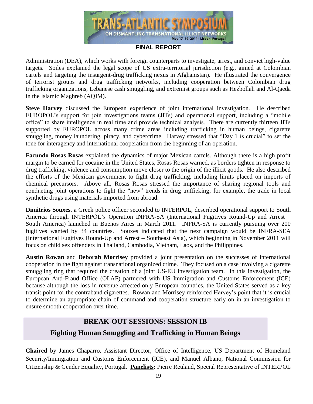

Administration (DEA), which works with foreign counterparts to investigate, arrest, and convict high-value targets. Soiles explained the legal scope of US extra-territorial jurisdiction (e.g., aimed at Colombian cartels and targeting the insurgent-drug trafficking nexus in Afghanistan). He illustrated the convergence of terrorist groups and drug trafficking networks, including cooperation between Colombian drug trafficking organizations, Lebanese cash smuggling, and extremist groups such as Hezbollah and Al-Qaeda in the Islamic Maghreb (AQIM).

**Steve Harvey** discussed the European experience of joint international investigation. He described EUROPOL's support for join investigations teams (JITs) and operational support, including a "mobile" office" to share intelligence in real time and provide technical analysis. There are currently thirteen JITs supported by EUROPOL across many crime areas including trafficking in human beings, cigarette smuggling, money laundering, piracy, and cybercrime. Harvey stressed that "Day 1 is crucial" to set the tone for interagency and international cooperation from the beginning of an operation.

**Facundo Rosas Rosas** explained the dynamics of major Mexican cartels. Although there is a high profit margin to be earned for cocaine in the United States, Rosas Rosas warned, as borders tighten in response to drug trafficking, violence and consumption move closer to the origin of the illicit goods. He also described the efforts of the Mexican government to fight drug trafficking, including limits placed on imports of chemical precursors. Above all, Rosas Rosas stressed the importance of sharing regional tools and conducting joint operations to fight the "new" trends in drug trafficking; for example, the trade in local synthetic drugs using materials imported from abroad.

**Dimitrios Souxes**, a Greek police officer seconded to INTERPOL, described operational support to South America through INTERPOL's Operation INFRA-SA (International Fugitives Round-Up and Arrest – South America) launched in Buenos Aires in March 2011. INFRA-SA is currently pursuing over 200 fugitives wanted by 34 countries. Souxes indicated that the next campaign would be INFRA-SEA (International Fugitives Round-Up and Arrest – Southeast Asia), which beginning in November 2011 will focus on child sex offenders in Thailand, Cambodia, Vietnam, Laos, and the Philippines.

**Austin Rowan** and **Deborah Morrisey** provided a joint presentation on the successes of international cooperation in the fight against transnational organized crime. They focused on a case involving a cigarette smuggling ring that required the creation of a joint US-EU investigation team. In this investigation, the European Anti-Fraud Office (OLAF) partnered with US Immigration and Customs Enforcement (ICE) because although the loss in revenue affected only European countries, the United States served as a key transit point for the contraband cigarettes. Rowan and Morrisey reinforced Harvey's point that it is crucial to determine an appropriate chain of command and cooperation structure early on in an investigation to ensure smooth cooperation over time.

## **BREAK-OUT SESSIONS: SESSION IB**

## **Fighting Human Smuggling and Trafficking in Human Beings**

**Chaired** by James Chaparro, Assistant Director, Office of Intelligence, US Department of Homeland Security/Immigration and Customs Enforcement (ICE), and Manuel Albano, National Commission for Citizenship & Gender Equality, Portugal. **Panelists:** Pierre Reuland, Special Representative of INTERPOL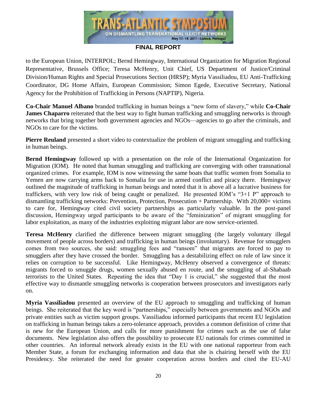

to the European Union, INTERPOL; Bernd Hemingway, International Organization for Migration Regional Representative, Brussels Office; Teresa McHenry, Unit Chief, US Department of Justice/Criminal Division/Human Rights and Special Prosecutions Section (HRSP); Myria Vassiliadou, EU Anti-Trafficking Coordinator, DG Home Affairs, European Commission; Simon Egede, Executive Secretary, National Agency for the Prohibition of Trafficking in Persons (NAPTIP), Nigeria.

**Co-Chair Manuel Albano** branded trafficking in human beings a "new form of slavery," while **Co-Chair James Chaparro** reiterated that the best way to fight human trafficking and smuggling networks is through networks that bring together both government agencies and NGOs—agencies to go after the criminals, and NGOs to care for the victims.

**Pierre Reuland** presented a short video to contextualize the problem of migrant smuggling and trafficking in human beings.

**Bernd Hemingway** followed up with a presentation on the role of the International Organization for Migration (IOM). He noted that human smuggling and trafficking are converging with other transnational organized crimes. For example, IOM is now witnessing the same boats that traffic women from Somalia to Yemen are now carrying arms back to Somalia for use in armed conflict and piracy there. Hemingway outlined the magnitude of trafficking in human beings and noted that it is above all a lucrative business for traffickers, with very low risk of being caught or penalized. He presented IOM's "3+1 P" approach to dismantling trafficking networks: Prevention, Protection, Prosecution + Partnership. With 20,000+ victims to care for, Hemingway cited civil society partnerships as particularly valuable. In the post-panel discussion, Hemingway urged participants to be aware of the "feminization" of migrant smuggling for labor exploitation, as many of the industries exploiting migrant labor are now service-oriented.

**Teresa McHenry** clarified the difference between migrant smuggling (the largely voluntary illegal movement of people across borders) and trafficking in human beings (involuntary). Revenue for smugglers comes from two sources, she said: smuggling fees and "ransom" that migrants are forced to pay to smugglers after they have crossed the border. Smuggling has a destabilizing effect on rule of law since it relies on corruption to be successful. Like Hemingway, McHenry observed a convergence of threats: migrants forced to smuggle drugs, women sexually abused en route, and the smuggling of al-Shabaab terrorists to the United States. Repeating the idea that "Day 1 is crucial," she suggested that the most effective way to dismantle smuggling networks is cooperation between prosecutors and investigators early on.

**Myria Vassiliadou** presented an overview of the EU approach to smuggling and trafficking of human beings. She reiterated that the key word is "partnerships," especially between governments and NGOs and private entities such as victim support groups. Vassiliadou informed participants that recent EU legislation on trafficking in human beings takes a zero-tolerance approach, provides a common definition of crime that is new for the European Union, and calls for more punishment for crimes such as the use of false documents. New legislation also offers the possibility to prosecute EU nationals for crimes committed in other countries. An informal network already exists in the EU with one national rapporteur from each Member State, a forum for exchanging information and data that she is chairing herself with the EU Presidency. She reiterated the need for greater cooperation across borders and cited the EU-AU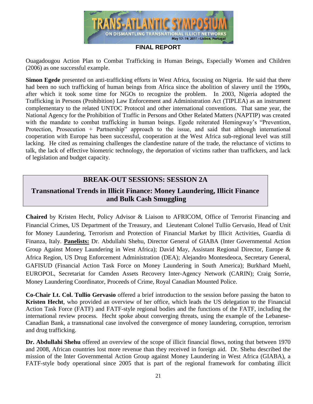

Ouagadougou Action Plan to Combat Trafficking in Human Beings, Especially Women and Children (2006) as one successful example.

**Simon Egede** presented on anti-trafficking efforts in West Africa, focusing on Nigeria. He said that there had been no such trafficking of human beings from Africa since the abolition of slavery until the 1990s, after which it took some time for NGOs to recognize the problem. In 2003, Nigeria adopted the Trafficking in Persons (Prohibition) Law Enforcement and Administration Act (TIPLEA) as an instrument complementary to the related UNTOC Protocol and other international conventions. That same year, the National Agency for the Prohibition of Traffic in Persons and Other Related Matters (NAPTIP) was created with the mandate to combat trafficking in human beings. Egede reiterated Hemingway's "Prevention, Protection, Prosecution + Partnership<sup>"</sup> approach to the issue, and said that although international cooperation with Europe has been successful, cooperation at the West Africa sub-regional level was still lacking. He cited as remaining challenges the clandestine nature of the trade, the reluctance of victims to talk, the lack of effective biometric technology, the deportation of victims rather than traffickers, and lack of legislation and budget capacity.

## **BREAK-OUT SESSIONS: SESSION 2A**

## **Transnational Trends in Illicit Finance: Money Laundering, Illicit Finance and Bulk Cash Smuggling**

**Chaired** by Kristen Hecht, Policy Advisor & Liaison to AFRICOM, Office of Terrorist Financing and Financial Crimes, US Department of the Treasury, and Lieutenant Colonel Tullio Gervasio, Head of Unit for Money Laundering, Terrorism and Protection of Financial Market by Illicit Activities, Guardia di Finanza, Italy. **Panelists:** Dr. Abdullahi Shehu, Director General of GIABA (Inter Governmental Action Group Against Money Laundering in West Africa); David May, Assistant Regional Director, Europe & Africa Region, US Drug Enforcement Administration (DEA); Alejandro Montesdeoca, Secretary General, GAFISUD (Financial Action Task Force on Money Laundering in South America); Burkhard Muehl, EUROPOL, Secretariat for Camden Assets Recovery Inter-Agency Network (CARIN); Craig Sorrie, Money Laundering Coordinator, Proceeds of Crime, Royal Canadian Mounted Police.

**Co-Chair Lt. Col. Tullio Gervasio** offered a brief introduction to the session before passing the baton to **Kristen Hecht**, who provided an overview of her office, which leads the US delegation to the Financial Action Task Force (FATF) and FATF-style regional bodies and the functions of the FATF, including the international review process. Hecht spoke about converging threats, using the example of the Lebanese-Canadian Bank, a transnational case involved the convergence of money laundering, corruption, terrorism and drug trafficking.

**Dr. Abdullahi Shehu** offered an overview of the scope of illicit financial flows, noting that between 1970 and 2008, African countries lost more revenue than they received in foreign aid. Dr. Shehu described the mission of the Inter Governmental Action Group against Money Laundering in West Africa (GIABA), a FATF-style body operational since 2005 that is part of the regional framework for combating illicit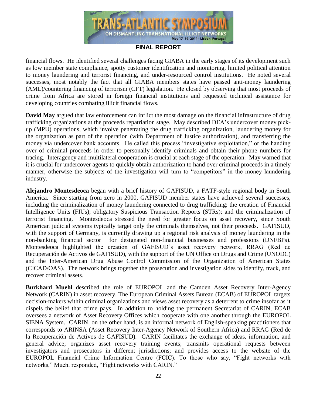

financial flows. He identified several challenges facing GIABA in the early stages of its development such as low member state compliance, spotty customer identification and monitoring, limited political attention to money laundering and terrorist financing, and under-resourced control institutions. He noted several successes, most notably the fact that all GIABA members states have passed anti-money laundering (AML)/countering financing of terrorism (CFT) legislation. He closed by observing that most proceeds of crime from Africa are stored in foreign financial institutions and requested technical assistance for developing countries combating illicit financial flows.

**David May** argued that law enforcement can inflict the most damage on the financial infrastructure of drug trafficking organizations at the proceeds repatriation stage. May described DEA's undercover money pickup (MPU) operations, which involve penetrating the drug trafficking organization, laundering money for the organization as part of the operation (with Department of Justice authorization), and transferring the money via undercover bank accounts. He called this process "investigative exploitation," or the handing over of criminal proceeds in order to personally identify criminals and obtain their phone numbers for tracing. Interagency and multilateral cooperation is crucial at each stage of the operation. May warned that it is crucial for undercover agents to quickly obtain authorization to hand over criminal proceeds in a timely manner, otherwise the subjects of the investigation will turn to "competitors" in the money laundering industry.

**Alejandro Montesdeoca** began with a brief history of GAFISUD, a FATF-style regional body in South America. Since starting from zero in 2000, GAFISUD member states have achieved several successes, including the criminalization of money laundering connected to drug trafficking; the creation of Financial Intelligence Units (FIUs); obligatory Suspicious Transaction Reports (STRs); and the criminalization of terrorist financing. Montesdeoca stressed the need for greater focus on asset recovery, since South American judicial systems typically target only the criminals themselves, not their proceeds. GAFISUD, with the support of Germany, is currently drawing up a regional risk analysis of money laundering in the non-banking financial sector for designated non-financial businesses and professions (DNFBPs). Montesdeoca highlighted the creation of GAFISUD's asset recovery network, RRAG (Red de Recuperación de Activos de GAFISUD), with the support of the UN Office on Drugs and Crime (UNODC) and the Inter-American Drug Abuse Control Commission of the Organization of American States (CICAD/OAS). The network brings together the prosecution and investigation sides to identify, track, and recover criminal assets.

**Burkhard Muehl** described the role of EUROPOL and the Camden Asset Recovery Inter-Agency Network (CARIN) in asset recovery. The European Criminal Assets Bureau (ECAB) of EUROPOL targets decision-makers within criminal organizations and views asset recovery as a deterrent to crime insofar as it dispels the belief that crime pays. In addition to holding the permanent Secretariat of CARIN, ECAB oversees a network of Asset Recovery Offices which cooperate with one another through the EUROPOL SIENA System. CARIN, on the other hand, is an informal network of English-speaking practitioners that corresponds to ARINSA (Asset Recovery Inter-Agency Network of Southern Africa) and RRAG (Red de la Recuperación de Activos de GAFISUD). CARIN facilitates the exchange of ideas, information, and general advice; organizes asset recovery training events; transmits operational requests between investigators and prosecutors in different jurisdictions; and provides access to the website of the EUROPOL Financial Crime Information Centre (FCIC). To those who say, "Fight networks with networks," Muehl responded, "Fight networks with CARIN."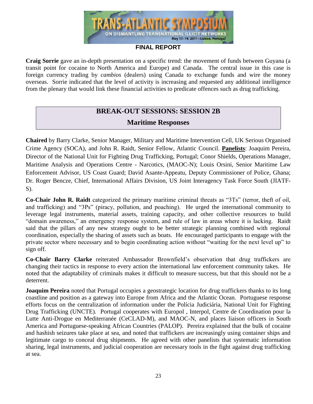

**Craig Sorrie** gave an in-depth presentation on a specific trend: the movement of funds between Guyana (a transit point for cocaine to North America and Europe) and Canada. The central issue in this case is foreign currency trading by *cambios* (dealers) using Canada to exchange funds and wire the money overseas. Sorrie indicated that the level of activity is increasing and requested any additional intelligence from the plenary that would link these financial activities to predicate offences such as drug trafficking.

# **BREAK-OUT SESSIONS: SESSION 2B Maritime Responses**

**Chaired** by Barry Clarke, Senior Manager, Military and Maritime Intervention Cell, UK Serious Organised Crime Agency (SOCA), and John R. Raidt, Senior Fellow, Atlantic Council. **Panelists**: Joaquim Pereira, Director of the National Unit for Fighting Drug Trafficking, Portugal; Conor Shields, Operations Manager, Maritime Analysis and Operations Centre - Narcotics, (MAOC-N); Louis Orsini, Senior Maritime Law Enforcement Advisor, US Coast Guard; David Asante-Appeatu, Deputy Commissioner of Police, Ghana; Dr. Roger Bencze, Chief, International Affairs Division, US Joint Interagency Task Force South (JIATF-S).

**Co-Chair John R. Raidt** categorized the primary maritime criminal threats as "3Ts" (terror, theft of oil, and trafficking) and "3Ps" (piracy, pollution, and poaching). He urged the international community to leverage legal instruments, material assets, training capacity, and other collective resources to build "domain awareness," an emergency response system, and rule of law in areas where it is lacking. Raidt said that the pillars of any new strategy ought to be better strategic planning combined with regional coordination, especially the sharing of assets such as boats. He encouraged participants to engage with the private sector where necessary and to begin coordinating action without "waiting for the next level up" to sign off.

**Co-Chair Barry Clarke** reiterated Ambassador Brownfield's observation that drug traffickers are changing their tactics in response to every action the international law enforcement community takes. He noted that the adaptability of criminals makes it difficult to measure success, but that this should not be a deterrent.

**Joaquim Pereira** noted that Portugal occupies a geostrategic location for drug traffickers thanks to its long coastline and position as a gateway into Europe from Africa and the Atlantic Ocean. Portuguese response efforts focus on the centralization of information under the Polícia Judiciária, National Unit for Fighting Drug Trafficking (UNCTE). Portugal cooperates with Europol , Interpol, Centre de Coordination pour la Lutte Anti-Drogue en Mediterranée (CeCLAD-M), and MAOC-N, and places liaison officers in South America and Portuguese-speaking African Countries (PALOP). Pereira explained that the bulk of cocaine and hashish seizures take place at sea, and noted that traffickers are increasingly using container ships and legitimate cargo to conceal drug shipments. He agreed with other panelists that systematic information sharing, legal instruments, and judicial cooperation are necessary tools in the fight against drug trafficking at sea.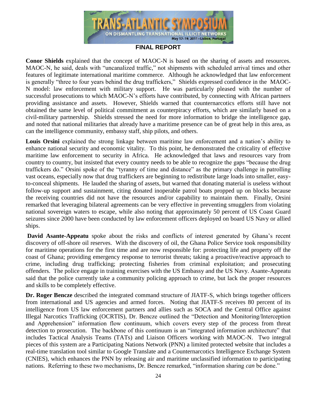

**Conor Shields** explained that the concept of MAOC-N is based on the sharing of assets and resources. MAOC-N, he said, deals with "uncanalized traffic," not shipments with scheduled arrival times and other features of legitimate international maritime commerce. Although he acknowledged that law enforcement is generally "three to four years behind the drug traffickers," Shields expressed confidence in the MAOC-N model: law enforcement with military support. He was particularly pleased with the number of successful prosecutions to which MAOC-N's efforts have contributed, by connecting with African partners providing assistance and assets. However, Shields warned that counternarcotics efforts still have not obtained the same level of political commitment as counterpiracy efforts, which are similarly based on a civil-military partnership. Shields stressed the need for more information to bridge the intelligence gap, and noted that national militaries that already have a maritime presence can be of great help in this area, as can the intelligence community, embassy staff, ship pilots, and others.

**Louis Orsini** explained the strong linkage between maritime law enforcement and a nation's ability to enhance national security and economic vitality. To this point, he demonstrated the criticality of effective maritime law enforcement to security in Africa. He acknowledged that laws and resources vary from country to country, but insisted that every country needs to be able to recognize the gaps "because the drug traffickers do." Orsini spoke of the "tyranny of time and distance" as the primary challenge in patrolling vast oceans, especially now that drug traffickers are beginning to redistribute large loads into smaller, easyto-conceal shipments. He lauded the sharing of assets, but warned that donating material is useless without follow-up support and sustainment, citing donated inoperable patrol boats propped up on blocks because the receiving countries did not have the resources and/or capability to maintain them. Finally, Orsini remarked that leveraging bilateral agreements can be very effective in preventing smugglers from violating national sovereign waters to escape, while also noting that approximately 50 percent of US Coast Guard seizures since 2000 have been conducted by law enforcement officers deployed on board US Navy or allied ships.

**David Asante-Appeatu** spoke about the risks and conflicts of interest generated by Ghana's recent discovery of off-shore oil reserves. With the discovery of oil, the Ghana Police Service took responsibility for maritime operations for the first time and are now responsible for: protecting life and property off the coast of Ghana; providing emergency response to terrorist threats; taking a proactive/reactive approach to crime, including drug trafficking; protecting fisheries from criminal exploitation; and prosecuting offenders. The police engage in training exercises with the US Embassy and the US Navy. Asante-Appeatu said that the police currently take a community policing approach to crime, but lack the proper resources and skills to be completely effective.

**Dr. Roger Bencze** described the integrated command structure of JIATF-S, which brings together officers from international and US agencies and armed forces. Noting that JIATF-S receives 80 percent of its intelligence from US law enforcement partners and allies such as SOCA and the Central Office against Illegal Narcotics Trafficking (OCRTIS), Dr. Bencze outlined the "Detection and Monitoring/Interception and Apprehension" information flow continuum, which covers every step of the process from threat detection to prosecution. The backbone of this continuum is an "integrated information architecture" that includes Tactical Analysis Teams (TATs) and Liaison Officers working with MAOC-N. Two integral pieces of this system are a Participating Nations Network (PNN) a limited protected website that includes a real-time translation tool similar to Google Translate and a Counternarcotics Intelligence Exchange System (CNIES), which enhances the PNN by releasing air and maritime unclassified information to participating nations. Referring to these two mechanisms, Dr. Bencze remarked, "information sharing *can* be done."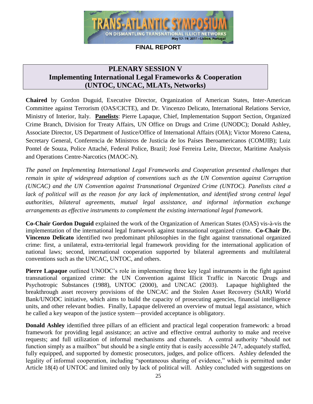

## **PLENARY SESSION V**

## **Implementing International Legal Frameworks & Cooperation (UNTOC, UNCAC, MLATs, Networks)**

**Chaired** by Gordon Duguid, Executive Director, Organization of American States, Inter-American Committee against Terrorism (OAS/CICTE), and Dr. Vincenzo Delicato, International Relations Service, Ministry of Interior, Italy. **Panelists**: Pierre Lapaque, Chief, Implementation Support Section, Organized Crime Branch, Division for Treaty Affairs, UN Office on Drugs and Crime (UNODC); Donald Ashley, Associate Director, US Department of Justice/Office of International Affairs (OIA); Victor Moreno Catena, Secretary General, Conferencia de Ministros de Justicia de los Países Iberoamericanos (COMJIB); Luiz Pontel de Souza, Police Attaché, Federal Police, Brazil; José Ferreira Leite, Director, Maritime Analysis and Operations Centre-Narcotics (MAOC-N).

*The panel on Implementing International Legal Frameworks and Cooperation presented challenges that remain in spite of widespread adoption of conventions such as the UN Convention against Corruption (UNCAC) and the UN Convention against Transnational Organized Crime (UNTOC). Panelists cited a*  lack of political will as the reason for any lack of implementation, and identified strong central legal *authorities, bilateral agreements, mutual legal assistance, and informal information exchange arrangements as effective instruments to complement the existing international legal framework.*

**Co-Chair Gordon Duguid** explained the work of the Organization of American States (OAS) vis-à-vis the implementation of the international legal framework against transnational organized crime. **Co-Chair Dr. Vincenzo Delicato** identified two predominant philosophies in the fight against transnational organized crime: first, a unilateral, extra-territorial legal framework providing for the international application of national laws; second, international cooperation supported by bilateral agreements and multilateral conventions such as the UNCAC, UNTOC, and others.

**Pierre Lapaque** outlined UNODC's role in implementing three key legal instruments in the fight against transnational organized crime: the UN Convention against Illicit Traffic in Narcotic Drugs and Psychotropic Substances (1988), UNTOC (2000), and UNCAC (2003). Lapaque highlighted the breakthrough asset recovery provisions of the UNCAC and the Stolen Asset Recovery (StAR) World Bank/UNODC initiative, which aims to build the capacity of prosecuting agencies, financial intelligence units, and other relevant bodies. Finally, Lapaque delivered an overview of mutual legal assistance, which he called a key weapon of the justice system—provided acceptance is obligatory.

**Donald Ashley** identified three pillars of an efficient and practical legal cooperation framework: a broad framework for providing legal assistance; an active and effective central authority to make and receive requests; and full utilization of informal mechanisms and channels. A central authority "should not function simply as a mailbox" but should be a single entity that is easily accessible 24/7, adequately staffed, fully equipped, and supported by domestic prosecutors, judges, and police officers. Ashley defended the legality of informal cooperation, including "spontaneous sharing of evidence," which is permitted under Article 18(4) of UNTOC and limited only by lack of political will. Ashley concluded with suggestions on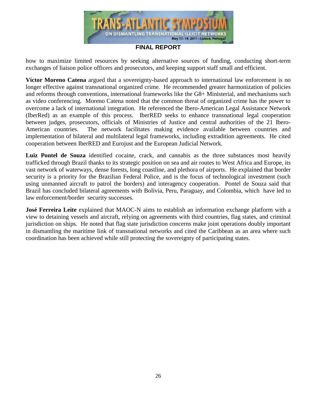

how to maximize limited resources by seeking alternative sources of funding, conducting short-term exchanges of liaison police officers and prosecutors, and keeping support staff small and efficient.

**Victor Moreno Catena** argued that a sovereignty-based approach to international law enforcement is no longer effective against transnational organized crime. He recommended greater harmonization of policies and reforms through conventions, international frameworks like the G8+ Ministerial, and mechanisms such as video conferencing. Moreno Catena noted that the common threat of organized crime has the power to overcome a lack of international integration. He referenced the Ibero-American Legal Assistance Network (IberRed) as an example of this process. IberRED seeks to enhance transnational legal cooperation between judges, prosecutors, officials of Ministries of Justice and central authorities of the 21 Ibero-American countries. The network facilitates making evidence available between countries and implementation of bilateral and multilateral legal frameworks, including extradition agreements. He cited cooperation between IberRED and Eurojust and the European Judicial Network.

**Luiz Pontel de Souza** identified cocaine, crack, and cannabis as the three substances most heavily trafficked through Brazil thanks to its strategic position on sea and air routes to West Africa and Europe, its vast network of waterways, dense forests, long coastline, and plethora of airports. He explained that border security is a priority for the Brazilian Federal Police, and is the focus of technological investment (such using unmanned aircraft to patrol the borders) and interagency cooperation. Pontel de Souza said that Brazil has concluded bilateral agreements with Bolivia, Peru, Paraguay, and Colombia, which have led to law enforcement/border security successes.

**José Ferreira Leite** explained that MAOC-N aims to establish an information exchange platform with a view to detaining vessels and aircraft, relying on agreements with third countries, flag states, and criminal jurisdiction on ships. He noted that flag state jurisdiction concerns make joint operations doubly important in dismantling the maritime link of transnational networks and cited the Caribbean as an area where such coordination has been achieved while still protecting the sovereignty of participating states.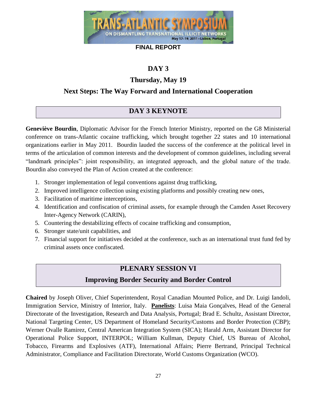

# **DAY 3**

## **Thursday, May 19**

## **Next Steps: The Way Forward and International Cooperation**

## **DAY 3 KEYNOTE**

**Geneviève Bourdin**, Diplomatic Advisor for the French Interior Ministry, reported on the G8 Ministerial conference on trans-Atlantic cocaine trafficking, which brought together 22 states and 10 international organizations earlier in May 2011. Bourdin lauded the success of the conference at the political level in terms of the articulation of common interests and the development of common guidelines, including several ―landmark principles‖: joint responsibility, an integrated approach, and the global nature of the trade. Bourdin also conveyed the Plan of Action created at the conference:

- 1. Stronger implementation of legal conventions against drug trafficking,
- 2. Improved intelligence collection using existing platforms and possibly creating new ones,
- 3. Facilitation of maritime interceptions,
- 4. Identification and confiscation of criminal assets, for example through the Camden Asset Recovery Inter-Agency Network (CARIN),
- 5. Countering the destabilizing effects of cocaine trafficking and consumption,
- 6. Stronger state/unit capabilities, and
- 7. Financial support for initiatives decided at the conference, such as an international trust fund fed by criminal assets once confiscated.

## **PLENARY SESSION VI**

## **Improving Border Security and Border Control**

**Chaired** by Joseph Oliver, Chief Superintendent, Royal Canadian Mounted Police, and Dr. Luigi Iandoli, Immigration Service, Ministry of Interior, Italy. **Panelists**: Luisa Maia Gonçalves, Head of the General Directorate of the Investigation, Research and Data Analysis, Portugal; Brad E. Schultz, Assistant Director, National Targeting Center, US Department of Homeland Security/Customs and Border Protection (CBP); Werner Ovalle Ramirez, Central American Integration System (SICA); Harald Arm, Assistant Director for Operational Police Support, INTERPOL; William Kullman, Deputy Chief, US Bureau of Alcohol, Tobacco, Firearms and Explosives (ATF), International Affairs; Pierre Bertrand, Principal Technical Administrator, Compliance and Facilitation Directorate, World Customs Organization (WCO).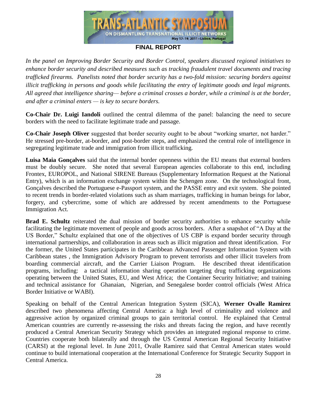

*In the panel on Improving Border Security and Border Control, speakers discussed regional initiatives to enhance border security and described measures such as tracking fraudulent travel documents and tracing trafficked firearms. Panelists noted that border security has a two-fold mission: securing borders against illicit trafficking in persons and goods while facilitating the entry of legitimate goods and legal migrants. All agreed that intelligence sharing— before a criminal crosses a border, while a criminal is at the border, and after a criminal enters — is key to secure borders.*

**Co-Chair Dr. Luigi Iandoli** outlined the central dilemma of the panel: balancing the need to secure borders with the need to facilitate legitimate trade and passage.

**Co-Chair Joseph Oliver** suggested that border security ought to be about "working smarter, not harder." He stressed pre-border, at-border, and post-border steps, and emphasized the central role of intelligence in segregating legitimate trade and immigration from illicit trafficking.

**Luisa Maia Gonçalves** said that the internal border openness within the EU means that external borders must be doubly secure. She noted that several European agencies collaborate to this end, including Frontex, EUROPOL, and National SIRENE Bureaus (Supplementary Information Request at the National Entry), which is an information exchange system within the Schengen zone. On the technological front, Gonçalves described the Portuguese e-Passport system, and the PASSE entry and exit system. She pointed to recent trends in border-related violations such as sham marriages, trafficking in human beings for labor, forgery, and cybercrime, some of which are addressed by recent amendments to the Portuguese Immigration Act.

**Brad E. Schultz** reiterated the dual mission of border security authorities to enhance security while facilitating the legitimate movement of people and goods across borders. After a snapshot of "A Day at the US Border," Schultz explained that one of the objectives of US CBP is expand border security through international partnerships, and collaboration in areas such as illicit migration and threat identification. For the former, the United States participates in the Caribbean Advanced Passenger Information System with Caribbean states , the Immigration Advisory Program to prevent terrorists and other illicit travelers from boarding commercial aircraft, and the Carrier Liaison Program. He described threat identification programs, including: a tactical information sharing operation targeting drug trafficking organizations operating between the United States, EU, and West Africa; the Container Security Initiative; and training and technical assistance for Ghanaian, Nigerian, and Senegalese border control officials (West Africa Border Initiative or WABI).

Speaking on behalf of the Central American Integration System (SICA), **Werner Ovalle Ramirez** described two phenomena affecting Central America: a high level of criminality and violence and aggressive action by organized criminal groups to gain territorial control. He explained that Central American countries are currently re-assessing the risks and threats facing the region, and have recently produced a Central American Security Strategy which provides an integrated regional response to crime. Countries cooperate both bilaterally and through the US Central American Regional Security Initiative (CARSI) at the regional level. In June 2011, Ovalle Ramirez said that Central American states would continue to build international cooperation at the International Conference for Strategic Security Support in Central America.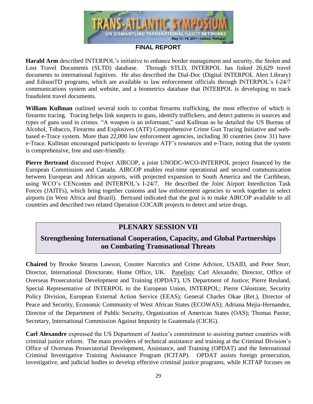

**Harald Arm** described INTERPOL's initiative to enhance border management and security, the Stolen and Lost Travel Documents (SLTD) database. Through STLD, INTERPOL has linked 26,629 travel documents to international fugitives. He also described the Dial-Doc (Digital INTERPOL Alert Library) and EdisonTD programs, which are available to law enforcement officials through INTERPOL's I-24/7 communications system and website, and a biometrics database that INTERPOL is developing to track fraudulent travel documents.

**William Kullman** outlined several tools to combat firearms trafficking, the most effective of which is firearms tracing. Tracing helps link suspects to guns, identify traffickers, and detect patterns in sources and types of guns used in crimes. "A weapon is an informant," said Kullman as he detailed the US Bureau of Alcohol, Tobacco, Firearms and Explosives (ATF) Comprehensive Crime Gun Tracing Initiative and webbased e-Trace system. More than 22,000 law enforcement agencies, including 30 countries (now 31) have e-Trace. Kullman encouraged participants to leverage ATF's resources and e-Trace, noting that the system is comprehensive, free and user-friendly.

**Pierre Bertrand** discussed Project AIRCOP, a joint UNODC-WCO-INTERPOL project financed by the European Commission and Canada. AIRCOP enables real-time operational and secured communication between European and African airports, with projected expansion to South America and the Caribbean, using WCO's CENcomm and INTERPOL's I-24/7. He described the Joint Airport Interdiction Task Forces (JAITFs), which bring together customs and law enforcement agencies to work together in select airports (in West Africa and Brazil). Bertrand indicated that the goal is to make AIRCOP available to all countries and described two related Operation COCAIR projects to detect and seize drugs.

## **PLENARY SESSION VII**

## **Strengthening International Cooperation, Capacity, and Global Partnerships on Combating Transnational Threats**

**Chaired** by Brooke Stearns Lawson, Counter Narcotics and Crime Advisor, USAID, and Peter Storr, Director, International Directorate, Home Office, UK. Panelists: Carl Alexandre, Director, Office of Overseas Prosecutorial Development and Training (OPDAT), US Department of Justice; Pierre Reuland, Special Representative of INTERPOL to the European Union, INTERPOL; Pierre Cléostrate, Security Policy Division, European External Action Service (EEAS); General Charles Okae (Ret.), Director of Peace and Security, Economic Community of West African States (ECOWAS); Adriana Mejia-Hernandez, Director of the Department of Public Security, Organization of American States (OAS); Thomas Pastor, Secretary, International Commission Against Impunity in Guatemala (CICIG).

**Carl Alexandre** expressed the US Department of Justice's commitment to assisting partner countries with criminal justice reform. The main providers of technical assistance and training at the Criminal Division's Office of Overseas Prosecutorial Development, Assistance, and Training (OPDAT) and the International Criminal Investigative Training Assistance Program (ICITAP). OPDAT assists foreign prosecution, investigative, and judicial bodies to develop effective criminal justice programs, while ICITAP focuses on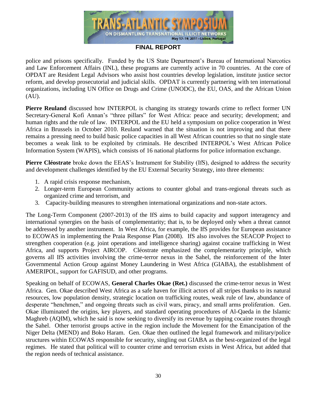

police and prisons specifically. Funded by the US State Department's Bureau of International Narcotics and Law Enforcement Affairs (INL), these programs are currently active in 70 countries. At the core of OPDAT are Resident Legal Advisors who assist host countries develop legislation, institute justice sector reform, and develop prosecutorial and judicial skills. OPDAT is currently partnering with ten international organizations, including UN Office on Drugs and Crime (UNODC), the EU, OAS, and the African Union  $(AU)$ .

**Pierre Reuland** discussed how INTERPOL is changing its strategy towards crime to reflect former UN Secretary-General Kofi Annan's "three pillars" for West Africa: peace and security; development; and human rights and the rule of law. INTERPOL and the EU held a symposium on police cooperation in West Africa in Brussels in October 2010. Reuland warned that the situation is not improving and that there remains a pressing need to build basic police capacities in all West African countries so that no single state becomes a weak link to be exploited by criminals. He described INTERPOL's West African Police Information System (WAPIS), which consists of 16 national platforms for police information exchange.

**Pierre Cléostrate** broke down the EEAS's Instrument for Stability (IfS), designed to address the security and development challenges identified by the EU External Security Strategy, into three elements:

- 1. A rapid crisis response mechanism,
- 2. Longer-term European Community actions to counter global and trans-regional threats such as organized crime and terrorism, and
- 3. Capacity-building measures to strengthen international organizations and non-state actors.

The Long-Term Component (2007-2013) of the IfS aims to build capacity and support interagency and international synergies on the basis of complementarity; that is, to be deployed only when a threat cannot be addressed by another instrument. In West Africa, for example, the IfS provides for European assistance to ECOWAS in implementing the Praia Response Plan (2008). IfS also involves the SEACOP Project to strengthen cooperation (e.g. joint operations and intelligence sharing) against cocaine trafficking in West Africa, and supports Project AIRCOP. Cléostrate emphasized the complementarity principle, which governs all IfS activities involving the crime-terror nexus in the Sahel, the reinforcement of the Inter Governmental Action Group against Money Laundering in West Africa (GIABA), the establishment of AMERIPOL, support for GAFISUD, and other programs.

Speaking on behalf of ECOWAS, **General Charles Okae (Ret.)** discussed the crime-terror nexus in West Africa. Gen. Okae described West Africa as a safe haven for illicit actors of all stripes thanks to its natural resources, low population density, strategic location on trafficking routes, weak rule of law, abundance of desperate "henchmen," and ongoing threats such as civil wars, piracy, and small arms proliferation. Gen. Okae illuminated the origins, key players, and standard operating procedures of Al-Qaeda in the Islamic Maghreb (AQIM), which he said is now seeking to diversify its revenue by tapping cocaine routes through the Sahel. Other terrorist groups active in the region include the Movement for the Emancipation of the Niger Delta (MEND) and Boko Haram. Gen. Okae then outlined the legal framework and military/police structures within ECOWAS responsible for security, singling out GIABA as the best-organized of the legal regimes. He stated that political will to counter crime and terrorism exists in West Africa, but added that the region needs of technical assistance.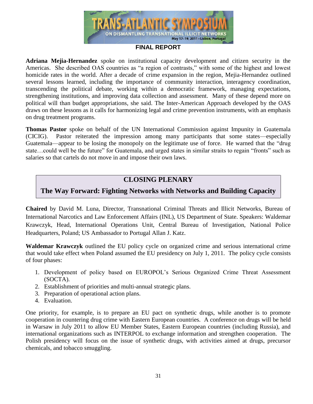

**Adriana Mejia-Hernandez** spoke on institutional capacity development and citizen security in the Americas. She described OAS countries as "a region of contrasts," with some of the highest and lowest homicide rates in the world. After a decade of crime expansion in the region, Mejia-Hernandez outlined several lessons learned, including the importance of community interaction, interagency coordination, transcending the political debate, working within a democratic framework, managing expectations, strengthening institutions, and improving data collection and assessment. Many of these depend more on political will than budget appropriations, she said. The Inter-American Approach developed by the OAS draws on these lessons as it calls for harmonizing legal and crime prevention instruments, with an emphasis on drug treatment programs.

**Thomas Pastor** spoke on behalf of the UN International Commission against Impunity in Guatemala (CICIG). Pastor reiterated the impression among many participants that some states—especially Guatemala—appear to be losing the monopoly on the legitimate use of force. He warned that the "drug" state…could well be the future" for Guatemala, and urged states in similar straits to regain "fronts" such as salaries so that cartels do not move in and impose their own laws.

## **CLOSING PLENARY**

## **The Way Forward: Fighting Networks with Networks and Building Capacity**

**Chaired** by David M. Luna, Director, Transnational Criminal Threats and Illicit Networks, Bureau of International Narcotics and Law Enforcement Affairs (INL), US Department of State. Speakers: Waldemar Krawczyk, Head, International Operations Unit, Central Bureau of Investigation, National Police Headquarters, Poland; US Ambassador to Portugal Allan J. Katz.

**Waldemar Krawczyk** outlined the EU policy cycle on organized crime and serious international crime that would take effect when Poland assumed the EU presidency on July 1, 2011. The policy cycle consists of four phases:

- 1. Development of policy based on EUROPOL's Serious Organized Crime Threat Assessment (SOCTA).
- 2. Establishment of priorities and multi-annual strategic plans.
- 3. Preparation of operational action plans.
- 4. Evaluation.

One priority, for example, is to prepare an EU pact on synthetic drugs, while another is to promote cooperation in countering drug crime with Eastern European countries. A conference on drugs will be held in Warsaw in July 2011 to allow EU Member States, Eastern European countries (including Russia), and international organizations such as INTERPOL to exchange information and strengthen cooperation. The Polish presidency will focus on the issue of synthetic drugs, with activities aimed at drugs, precursor chemicals, and tobacco smuggling.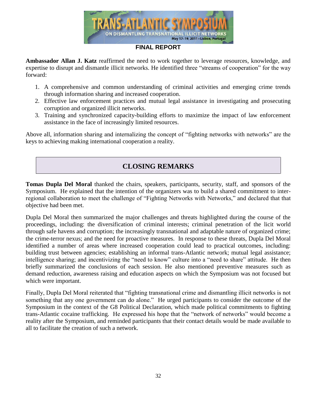

**Ambassador Allan J. Katz** reaffirmed the need to work together to leverage resources, knowledge, and expertise to disrupt and dismantle illicit networks. He identified three "streams of cooperation" for the way forward:

- 1. A comprehensive and common understanding of criminal activities and emerging crime trends through information sharing and increased cooperation.
- 2. Effective law enforcement practices and mutual legal assistance in investigating and prosecuting corruption and organized illicit networks.
- 3. Training and synchronized capacity-building efforts to maximize the impact of law enforcement assistance in the face of increasingly limited resources.

Above all, information sharing and internalizing the concept of "fighting networks with networks" are the keys to achieving making international cooperation a reality.

# **CLOSING REMARKS**

**Tomas Dupla Del Moral** thanked the chairs, speakers, participants, security, staff, and sponsors of the Symposium. He explained that the intention of the organizers was to build a shared commitment to interregional collaboration to meet the challenge of "Fighting Networks with Networks," and declared that that objective had been met.

Dupla Del Moral then summarized the major challenges and threats highlighted during the course of the proceedings, including: the diversification of criminal interests; criminal penetration of the licit world through safe havens and corruption; the increasingly transnational and adaptable nature of organized crime; the crime-terror nexus; and the need for proactive measures. In response to these threats, Dupla Del Moral identified a number of areas where increased cooperation could lead to practical outcomes, including: building trust between agencies; establishing an informal trans-Atlantic network; mutual legal assistance; intelligence sharing; and incentivizing the "need to know" culture into a "need to share" attitude. He then briefly summarized the conclusions of each session. He also mentioned preventive measures such as demand reduction, awareness raising and education aspects on which the Symposium was not focused but which were important.

Finally, Dupla Del Moral reiterated that "fighting transnational crime and dismantling illicit networks is not something that any one government can do alone." He urged participants to consider the outcome of the Symposium in the context of the G8 Political Declaration, which made political commitments to fighting trans-Atlantic cocaine trafficking. He expressed his hope that the "network of networks" would become a reality after the Symposium, and reminded participants that their contact details would be made available to all to facilitate the creation of such a network.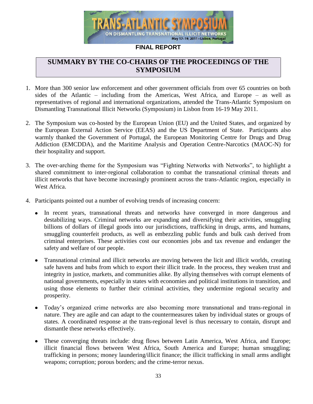

## **SUMMARY BY THE CO-CHAIRS OF THE PROCEEDINGS OF THE SYMPOSIUM**

- 1. More than 300 senior law enforcement and other government officials from over 65 countries on both sides of the Atlantic – including from the Americas, West Africa, and Europe – as well as representatives of regional and international organizations, attended the Trans-Atlantic Symposium on Dismantling Transnational Illicit Networks (Symposium) in Lisbon from 16-19 May 2011.
- 2. The Symposium was co-hosted by the European Union (EU) and the United States, and organized by the European External Action Service (EEAS) and the US Department of State. Participants also warmly thanked the Government of Portugal, the European Monitoring Centre for Drugs and Drug Addiction (EMCDDA), and the Maritime Analysis and Operation Centre-Narcotics (MAOC-N) for their hospitality and support.
- 3. The over-arching theme for the Symposium was "Fighting Networks with Networks", to highlight a shared commitment to inter-regional collaboration to combat the transnational criminal threats and illicit networks that have become increasingly prominent across the trans-Atlantic region, especially in West Africa.
- 4. Participants pointed out a number of evolving trends of increasing concern:
	- In recent years, transnational threats and networks have converged in more dangerous and  $\bullet$ destabilizing ways. Criminal networks are expanding and diversifying their activities, smuggling billions of dollars of illegal goods into our jurisdictions, trafficking in drugs, arms, and humans, smuggling counterfeit products, as well as embezzling public funds and bulk cash derived from criminal enterprises. These activities cost our economies jobs and tax revenue and endanger the safety and welfare of our people.
	- $\bullet$ Transnational criminal and illicit networks are moving between the licit and illicit worlds, creating safe havens and hubs from which to export their illicit trade. In the process, they weaken trust and integrity in justice, markets, and communities alike. By allying themselves with corrupt elements of national governments, especially in states with economies and political institutions in transition, and using those elements to further their criminal activities, they undermine regional security and prosperity.
	- Today's organized crime networks are also becoming more transnational and trans-regional in  $\bullet$ nature. They are agile and can adapt to the countermeasures taken by individual states or groups of states. A coordinated response at the trans-regional level is thus necessary to contain, disrupt and dismantle these networks effectively.
	- These converging threats include: drug flows between Latin America, West Africa, and Europe;  $\bullet$ illicit financial flows between West Africa, South America and Europe; human smuggling; trafficking in persons; money laundering/illicit finance; the illicit trafficking in small arms andlight weapons; corruption; porous borders; and the crime-terror nexus.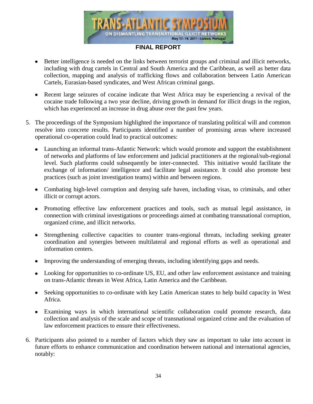

- $\bullet$ Better intelligence is needed on the links between terrorist groups and criminal and illicit networks, including with drug cartels in Central and South America and the Caribbean, as well as better data collection, mapping and analysis of trafficking flows and collaboration between Latin American Cartels, Eurasian-based syndicates, and West African criminal gangs.
- Recent large seizures of cocaine indicate that West Africa may be experiencing a revival of the cocaine trade following a two year decline, driving growth in demand for illicit drugs in the region, which has experienced an increase in drug abuse over the past few years.
- 5. The proceedings of the Symposium highlighted the importance of translating political will and common resolve into concrete results. Participants identified a number of promising areas where increased operational co-operation could lead to practical outcomes:
	- Launching an informal trans-Atlantic Network: which would promote and support the establishment of networks and platforms of law enforcement and judicial practitioners at the regional/sub-regional level. Such platforms could subsequently be inter-connected. This initiative would facilitate the exchange of information/ intelligence and facilitate legal assistance. It could also promote best practices (such as joint investigation teams) within and between regions.
	- Combating high-level corruption and denying safe haven, including visas, to criminals, and other illicit or corrupt actors.
	- Promoting effective law enforcement practices and tools, such as mutual legal assistance, in connection with criminal investigations or proceedings aimed at combating transnational corruption, organized crime, and illicit networks.
	- $\bullet$ Strengthening collective capacities to counter trans-regional threats, including seeking greater coordination and synergies between multilateral and regional efforts as well as operational and information centers.
	- Improving the understanding of emerging threats, including identifying gaps and needs.  $\bullet$
	- Looking for opportunities to co-ordinate US, EU, and other law enforcement assistance and training on trans-Atlantic threats in West Africa, Latin America and the Caribbean.
	- Seeking opportunities to co-ordinate with key Latin American states to help build capacity in West Africa.
	- Examining ways in which international scientific collaboration could promote research, data collection and analysis of the scale and scope of transnational organized crime and the evaluation of law enforcement practices to ensure their effectiveness.
- 6. Participants also pointed to a number of factors which they saw as important to take into account in future efforts to enhance communication and coordination between national and international agencies, notably: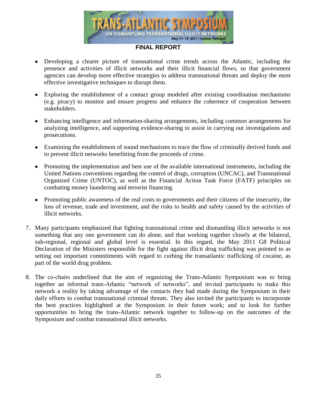

- $\bullet$ Developing a clearer picture of transnational crime trends across the Atlantic, including the presence and activities of illicit networks and their illicit financial flows, so that government agencies can develop more effective strategies to address transnational threats and deploy the most effective investigative techniques to disrupt them.
- Exploring the establishment of a contact group modeled after existing coordination mechanisms (e.g. piracy) to monitor and ensure progress and enhance the coherence of cooperation between stakeholders.
- Enhancing intelligence and information-sharing arrangements, including common arrangements for analyzing intelligence, and supporting evidence-sharing to assist in carrying out investigations and prosecutions.
- Examining the establishment of sound mechanisms to trace the flow of criminally derived funds and to prevent illicit networks benefitting from the proceeds of crime.
- Promoting the implementation and best use of the available international instruments, including the United Nations conventions regarding the control of drugs, corruption (UNCAC), and Transnational Organized Crime (UNTOC), as well as the Financial Action Task Force (FATF) principles on combating money laundering and terrorist financing.
- Promoting public awareness of the real costs to governments and their citizens of the insecurity, the loss of revenue, trade and investment, and the risks to health and safety caused by the activities of illicit networks.
- 7. Many participants emphasized that fighting transnational crime and dismantling illicit networks is not something that any one government can do alone, and that working together closely at the bilateral, sub-regional, regional and global level is essential. In this regard, the May 2011 G8 Political Declaration of the Ministers responsible for the fight against illicit drug trafficking was pointed to as setting out important commitments with regard to curbing the transatlantic trafficking of cocaine, as part of the world drug problem.
- 8. The co-chairs underlined that the aim of organizing the Trans-Atlantic Symposium was to bring together an informal trans-Atlantic "network of networks", and invited participants to make this network a reality by taking advantage of the contacts they had made during the Symposium in their daily efforts to combat transnational criminal threats. They also invited the participants to incorporate the best practices highlighted at the Symposium in their future work; and to look for further opportunities to bring the trans-Atlantic network together to follow-up on the outcomes of the Symposium and combat transnational illicit networks.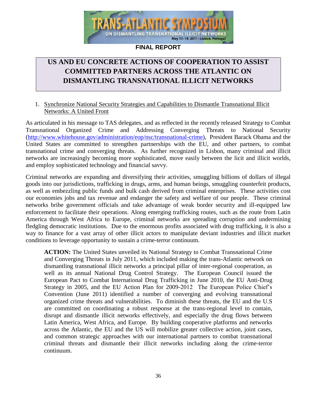

# **US AND EU CONCRETE ACTIONS OF COOPERATION TO ASSIST COMMITTED PARTNERS ACROSS THE ATLANTIC ON DISMANTLING TRANSNATIONAL ILLICIT NETWORKS**

#### 1. Synchronize National Security Strategies and Capabilities to Dismantle Transnational Illicit Networks: A United Front

As articulated in his message to TAS delegates, and as reflected in the recently released Strategy to Combat Transnational Organized Crime and Addressing Converging Threats to National Security [\(http://www.whitehouse.gov/administration/eop/nsc/transnational-crime\)](http://www.whitehouse.gov/administration/eop/nsc/transnational-crime), President Barack Obama and the United States are committed to strengthen partnerships with the EU, and other partners, to combat transnational crime and converging threats. As further recognized in Lisbon, many criminal and illicit networks are increasingly becoming more sophisticated, move easily between the licit and illicit worlds, and employ sophisticated technology and financial savvy.

Criminal networks are expanding and diversifying their activities, smuggling billions of dollars of illegal goods into our jurisdictions, trafficking in drugs, arms, and human beings, smuggling counterfeit products, as well as embezzling public funds and bulk cash derived from criminal enterprises. These activities cost our economies jobs and tax revenue and endanger the safety and welfare of our people. These criminal networks bribe government officials and take advantage of weak border security and ill-equipped law enforcement to facilitate their operations. Along emerging trafficking routes, such as the route from Latin America through West Africa to Europe, criminal networks are spreading corruption and undermining fledgling democratic institutions. Due to the enormous profits associated with drug trafficking, it is also a way to finance for a vast array of other illicit actors to manipulate deviant industries and illicit market conditions to leverage opportunity to sustain a crime-terror continuum.

**ACTION:** The United States unveiled its National Strategy to Combat Transnational Crime and Converging Threats in July 2011, which included making the trans-Atlantic network on dismantling transnational illicit networks a principal pillar of inter-regional cooperation, as well as its annual National Drug Control Strategy. The European Council issued the European Pact to Combat International Drug Trafficking in June 2010, the EU Anti-Drug Strategy in 2005, and the EU Action Plan for 2009-2012 The European Police Chief's Convention (June 2011) identified a number of converging and evolving transnational organized crime threats and vulnerabilities. To diminish these threats, the EU and the U.S are committed on coordinating a robust response at the trans-regional level to contain, disrupt and dismantle illicit networks effectively, and especially the drug flows between Latin America, West Africa, and Europe. By building cooperative platforms and networks across the Atlantic, the EU and the US will mobilize greater collective action, joint cases, and common strategic approaches with our international partners to combat transnational criminal threats and dismantle their illicit networks including along the crime-terror continuum.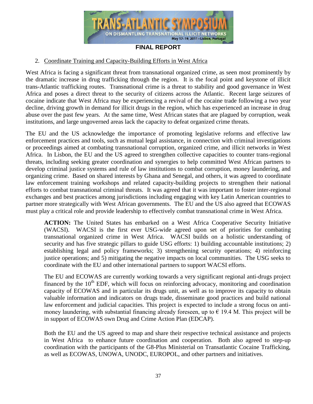

#### 2. Coordinate Training and Capacity-Building Efforts in West Africa

West Africa is facing a significant threat from transnational organized crime, as seen most prominently by the dramatic increase in drug trafficking through the region. It is the focal point and keystone of illicit trans-Atlantic trafficking routes. Transnational crime is a threat to stability and good governance in West Africa and poses a direct threat to the security of citizens across the Atlantic. Recent large seizures of cocaine indicate that West Africa may be experiencing a revival of the cocaine trade following a two year decline, driving growth in demand for illicit drugs in the region, which has experienced an increase in drug abuse over the past few years. At the same time, West African states that are plagued by corruption, weak institutions, and large ungoverned areas lack the capacity to defeat organized crime threats.

The EU and the US acknowledge the importance of promoting legislative reforms and effective law enforcement practices and tools, such as mutual legal assistance, in connection with criminal investigations or proceedings aimed at combating transnational corruption, organized crime, and illicit networks in West Africa. In Lisbon, the EU and the US agreed to strengthen collective capacities to counter trans-regional threats, including seeking greater coordination and synergies to help committed West African partners to develop criminal justice systems and rule of law institutions to combat corruption, money laundering, and organizing crime. Based on shared interests by Ghana and Senegal, and others, it was agreed to coordinate law enforcement training workshops and related capacity-building projects to strengthen their national efforts to combat transnational criminal threats. It was agreed that it was important to foster inter-regional exchanges and best practices among jurisdictions including engaging with key Latin American countries to partner more strategically with West African governments. The EU and the US also agreed that ECOWAS must play a critical role and provide leadership to effectively combat transnational crime in West Africa.

**ACTION:** The United States has embarked on a West Africa Cooperative Security Initiative (WACSI). WACSI is the first ever USG-wide agreed upon set of priorities for combating transnational organized crime in West Africa. WACSI builds on a holistic understanding of security and has five strategic pillars to guide USG efforts: 1) building accountable institutions; 2) establishing legal and policy frameworks; 3) strengthening security operations; 4) reinforcing justice operations; and 5) mitigating the negative impacts on local communities. The USG seeks to coordinate with the EU and other international partners to support WACSI efforts.

The EU and ECOWAS are currently working towards a very significant regional anti-drugs project financed by the  $10<sup>th</sup>$  EDF, which will focus on reinforcing advocacy, monitoring and coordination capacity of ECOWAS and in particular its drugs unit, as well as to improve its capacity to obtain valuable information and indicators on drugs trade, disseminate good practices and build national law enforcement and judicial capacities. This project is expected to include a strong focus on antimoney laundering, with substantial financing already foreseen, up to  $\epsilon$  19.4 M. This project will be in support of ECOWAS own Drug and Crime Action Plan (EDCAP).

Both the EU and the US agreed to map and share their respective technical assistance and projects in West Africa to enhance future coordination and cooperation. Both also agreed to step-up coordination with the participants of the G8-Plus Ministerial on Transatlantic Cocaine Trafficking, as well as ECOWAS, UNOWA, UNODC, EUROPOL, and other partners and initiatives.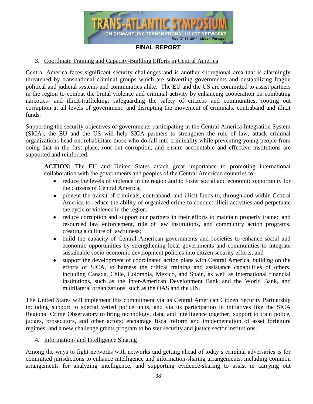

#### 3. Coordinate Training and Capacity-Building Efforts in Central America

Central America faces significant security challenges and is another subregional area that is alarmingly threatened by transnational criminal groups which are subverting governments and destabilizing fragile political and judicial systems and communities alike. The EU and the US are committed to assist partners in the region to combat the brutal violence and criminal activity by enhancing cooperation on combating narcotics- and illicit-trafficking; safeguarding the safety of citizens and communities; rooting out corruption at all levels of government; and disrupting the movement of criminals, contraband and illicit funds.

Supporting the security objectives of governments participating in the Central America Integration System (SICA), the EU and the US will help SICA partners to strengthen the rule of law, attack criminal organizations head-on, rehabilitate those who do fall into criminality while preventing young people from doing that in the first place, root out corruption, and ensure accountable and effective institutions are supported and reinforced.

**ACTION:** The EU and United States attach great importance to promoting international collaboration with the governments and peoples of the Central American countries to:

- reduce the levels of violence in the region and to foster social and economic opportunity for the citizens of Central America;
- prevent the transit of criminals, contraband, and illicit funds to, through and within Central America to reduce the ability of organized crime to conduct illicit activities and perpetuate the cycle of violence in the region;
- reduce corruption and support our partners in their efforts to maintain properly trained and resourced law enforcement, rule of law institutions, and community action programs, creating a culture of lawfulness;
- build the capacity of Central American governments and societies to enhance social and economic opportunities by strengthening local governments and communities to integrate sustainable socio-economic development policies into citizen security efforts; and
- support the development of coordinated action plans with Central America, building on the efforts of SICA, to harness the critical training and assistance capabilities of others, including Canada, Chile, Colombia, Mexico, and Spain, as well as international financial institutions, such as the Inter-American Development Bank and the World Bank, and multilateral organizations, such as the OAS and the UN.

The United States will implement this commitment via its Central American Citizen Security Partnership including support to special vetted police units, and via its participation in initiatives like the SICA Regional Crime Observatory to bring technology, data, and intelligence together; support to train police, judges, prosecutors, and other actors; encourage fiscal reform and implementation of asset forfeiture regimes; and a new challenge grants program to bolster security and justice sector institutions.

#### 4. Information- and Intelligence Sharing

Among the ways to fight networks with networks and getting ahead of today's criminal adversaries is for committed jurisdictions to enhance intelligence and information-sharing arrangements, including common arrangements for analyzing intelligence, and supporting evidence-sharing to assist in carrying out